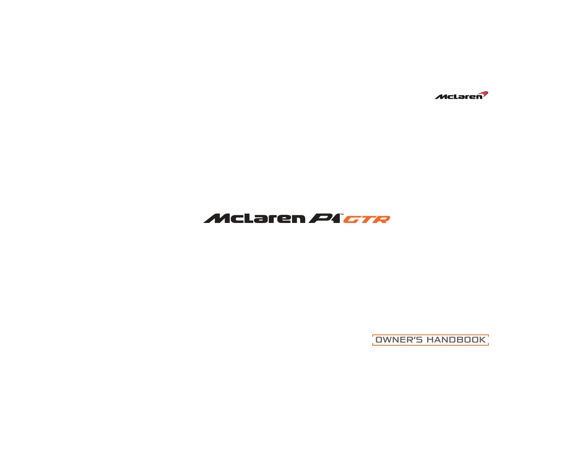

# McLaren *Platr*

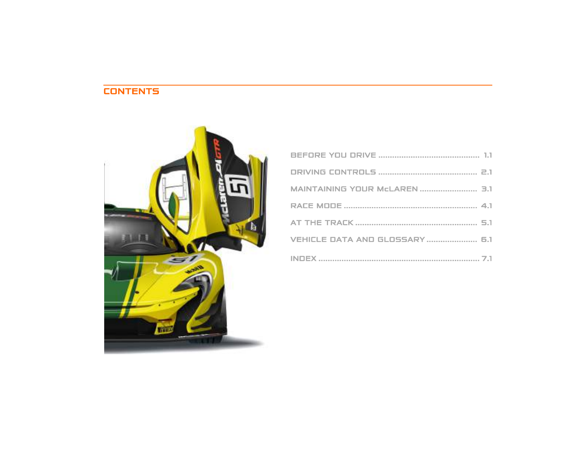# **CONTENTS**



| 5.1                                   |
|---------------------------------------|
| <b>VEHICLE DATA AND GLOSSARY  6.1</b> |
|                                       |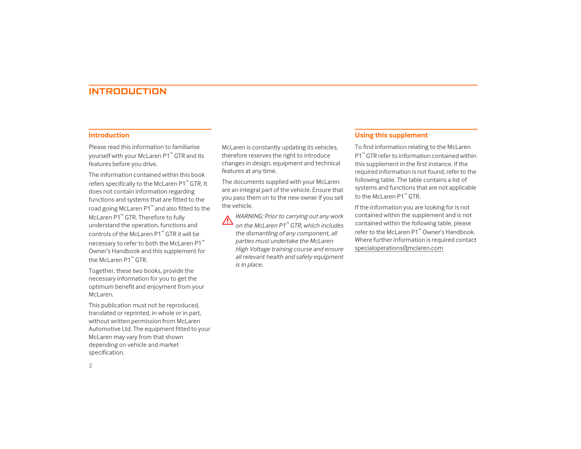#### **Introduction**

Please read this information to familiarise yourself with your McLaren P1™ GTR and its features before you drive.

The information contained within this book refers specifically to the McLaren P1™ GTR. It does not contain information regarding functions and systems that are fitted to the road going McLaren P1™ and also fitted to the McLaren P1™ GTR. Therefore to fully understand the operation, functions and controls of the McLaren P1™ GTR it will be necessary to refer to both the McLaren P1™ Owner's Handbook and this supplement for the McLaren P1™ GTR.

Together, these two books, provide the necessary information for you to get the optimum benefit and enjoyment from your McLaren.

This publication must not be reproduced, translated or reprinted, in whole or in part, without written permission from McLaren Automotive Ltd. The equipment fitted to your McLaren may vary from that shown depending on vehicle and market specification.

McLaren is constantly updating its vehicles, therefore reserves the right to introduce changes in design, equipment and technical features at any time.

The documents supplied with your McLaren are an integral part of the vehicle. Ensure that you pass them on to the new owner if you sell the vehicle.

*WARNING: Prior to carrying out any work*   $\sqrt{r}$ *on the McLaren P1™ GTR, which includes the dismantling of any component, all parties must undertake the McLaren High Voltage training course and ensure all relevant health and safety equipment is in place.*

### **Using this supplement**

To find information relating to the McLaren P1™ GTR refer to information contained within this supplement in the first instance. If the required information is not found, refer to the following table. The table contains a list of systems and functions that are not applicable to the McLaren P1™ GTR.

If the information you are looking for is not contained within the supplement and is not contained within the following table, please refer to the McLaren P1™ Owner's Handbook. Where further information is required contact specialoperations@mclaren.com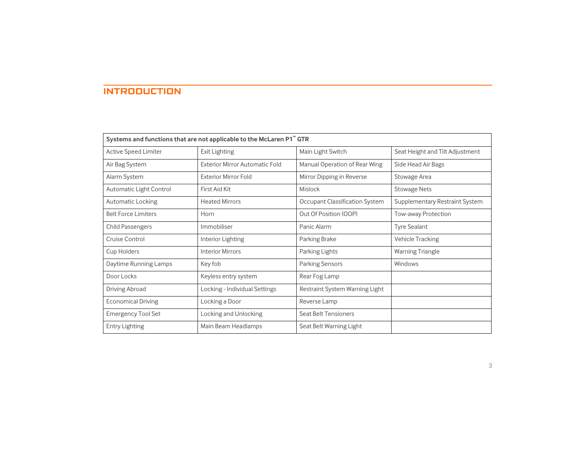|                             | Systems and functions that are not applicable to the McLaren P1" GTR |                                |                                 |
|-----------------------------|----------------------------------------------------------------------|--------------------------------|---------------------------------|
| <b>Active Speed Limiter</b> | <b>Exit Lighting</b>                                                 | Main Light Switch              | Seat Height and Tilt Adjustment |
| Air Bag System              | Exterior Mirror Automatic Fold                                       | Manual Operation of Rear Wing  | Side Head Air Bags              |
| Alarm System                | Exterior Mirror Fold                                                 | Mirror Dipping in Reverse      | Stowage Area                    |
| Automatic Light Control     | First Aid Kit                                                        | <b>Mislock</b>                 | <b>Stowage Nets</b>             |
| <b>Automatic Locking</b>    | <b>Heated Mirrors</b>                                                | Occupant Classification System | Supplementary Restraint System  |
| <b>Belt Force Limiters</b>  | Horn                                                                 | Out Of Position (OOP)          | <b>Tow-away Protection</b>      |
| <b>Child Passengers</b>     | Immobiliser                                                          | Panic Alarm                    | <b>Tyre Sealant</b>             |
| Cruise Control              | Interior Lighting                                                    | Parking Brake                  | <b>Vehicle Tracking</b>         |
| Cup Holders                 | <b>Interior Mirrors</b>                                              | Parking Lights                 | <b>Warning Triangle</b>         |
| Daytime Running Lamps       | Key fob                                                              | <b>Parking Sensors</b>         | Windows                         |
| Door Locks                  | Keyless entry system                                                 | Rear Fog Lamp                  |                                 |
| Driving Abroad              | Locking - Individual Settings                                        | Restraint System Warning Light |                                 |
| <b>Economical Driving</b>   | Locking a Door                                                       | Reverse Lamp                   |                                 |
| <b>Emergency Tool Set</b>   | Locking and Unlocking                                                | <b>Seat Belt Tensioners</b>    |                                 |
| <b>Entry Lighting</b>       | Main Beam Headlamps                                                  | Seat Belt Warning Light        |                                 |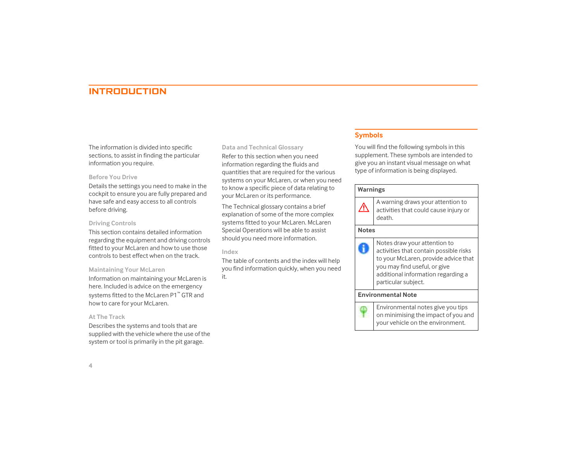The information is divided into specific sections, to assist in finding the particular information you require.

#### **Before You Drive**

Details the settings you need to make in the cockpit to ensure you are fully prepared and have safe and easy access to all controls before driving.

#### **Driving Controls**

This section contains detailed information regarding the equipment and driving controls fitted to your McLaren and how to use those controls to best effect when on the track.

#### **Maintaining Your McLaren**

Information on maintaining your McLaren is here. Included is advice on the emergency systems fitted to the McLaren P1™ GTR and how to care for your McLaren.

#### **At The Track**

Describes the systems and tools that are supplied with the vehicle where the use of the system or tool is primarily in the pit garage.

#### **Data and Technical Glossary**

Refer to this section when you need information regarding the fluids and quantities that are required for the various systems on your McLaren, or when you need to know a specific piece of data relating to your McLaren or its performance.

The Technical glossary contains a brief explanation of some of the more complex systems fitted to your McLaren. McLaren Special Operations will be able to assist should you need more information.

#### **Index**

The table of contents and the index will help you find information quickly, when you need it.

### **Symbols**

You will find the following symbols in this supplement. These symbols are intended to give you an instant visual message on what type of information is being displayed.

### **Warnings**



A warning draws your attention to activities that could cause injury or death.

#### **Notes**



Notes draw your attention to activities that contain possible risks to your McLaren, provide advice that you may find useful, or give additional information regarding a particular subject.

#### **Environmental Note**



Environmental notes give you tips on minimising the impact of you and your vehicle on the environment.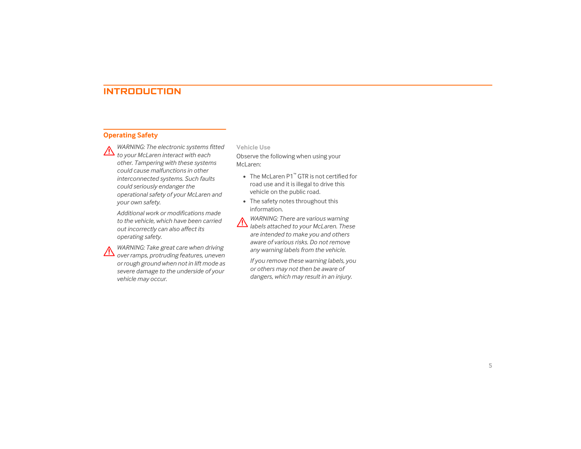### **Operating Safety**

*your own safety.*

*WARNING: The electronic systems fitted to your McLaren interact with each other. Tampering with these systems could cause malfunctions in other interconnected systems. Such faults could seriously endanger the operational safety of your McLaren and* 

*Additional work or modifications made to the vehicle, which have been carried out incorrectly can also affect its operating safety.* 

*WARNING: Take great care when driving over ramps, protruding features, uneven or rough ground when not in lift mode as severe damage to the underside of your vehicle may occur.* 

**Vehicle Use**

Observe the following when using your McLaren:

- The McLaren P1™ GTR is not certified for road use and it is illegal to drive this vehicle on the public road.
- The safety notes throughout this information.
- *WARNING: There are various warning labels attached to your McLaren. These are intended to make you and others aware of various risks. Do not remove any warning labels from the vehicle.*

*If you remove these warning labels, you or others may not then be aware of dangers, which may result in an injury.*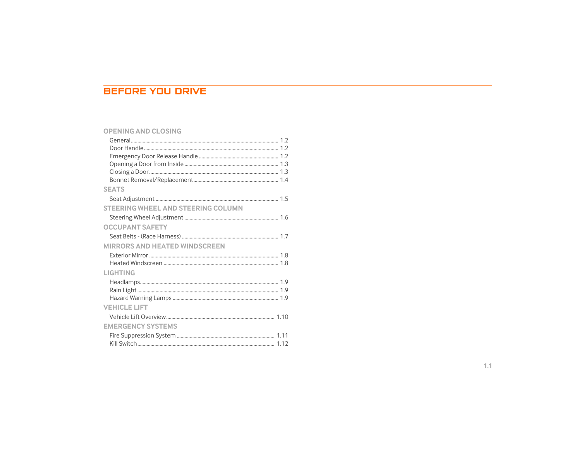### <span id="page-8-0"></span>**OPENING AND CLOSING**

| <b>SEATS</b>                              |
|-------------------------------------------|
|                                           |
| <b>STEERING WHEEL AND STEERING COLUMN</b> |
|                                           |
| <b>OCCUPANT SAFETY</b>                    |
|                                           |
| <b>MIRRORS AND HEATED WINDSCREEN</b>      |
|                                           |
|                                           |
| <b>LIGHTING</b>                           |
|                                           |
|                                           |
|                                           |
| <b>VEHICLE LIFT</b>                       |
|                                           |
| <b>EMERGENCY SYSTEMS</b>                  |
|                                           |
|                                           |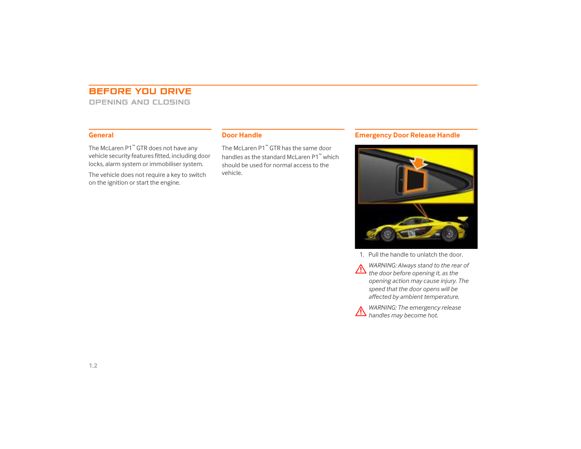# BEFORE YOU DRIVEOPENING AND CLOSING

### <span id="page-9-1"></span><span id="page-9-0"></span>**General**

The McLaren P1™ GTR does not have any vehicle security features fitted, including door locks, alarm system or immobiliser system.

The vehicle does not require a key to switch on the ignition or start the engine.

### <span id="page-9-2"></span>**Door Handle**

The McLaren P1™ GTR has the same door handles as the standard McLaren P1™ which should be used for normal access to the vehicle.

### <span id="page-9-3"></span>**Emergency Door Release Handle**



- 1. Pull the handle to unlatch the door.
- *WARNING: Always stand to the rear of*   $\sqrt{1}$ *the door before opening it, as the opening action may cause injury. The speed that the door opens will be affected by ambient temperature.*



*WARNING: The emergency release handles may become hot.*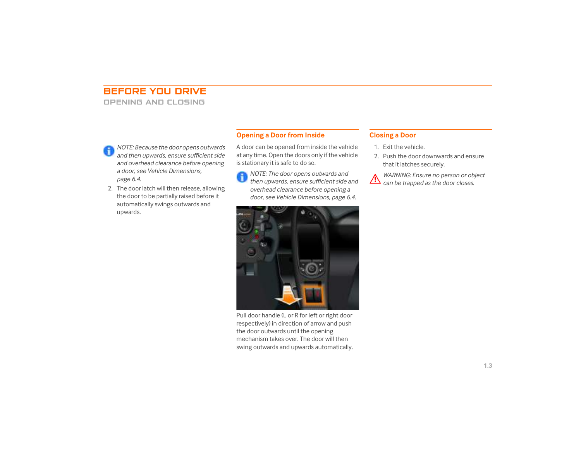# BEFORE YOU DRIVEOPENING AND CLOSING

- *NOTE: Because the door opens outwards and then upwards, ensure sufficient side and overhead clearance before opening a door, see [Vehicle Dimensions,](#page-73-0)  [page](#page-73-0) 6.4.*
- 2. The door latch will then release, allowing the door to be partially raised before it automatically swings outwards and upwards.

### <span id="page-10-0"></span>**Opening a Door from Inside**

A door can be opened from inside the vehicle at any time. Open the doors only if the vehicle is stationary it is safe to do so.

*NOTE: The door opens outwards and then upwards, ensure sufficient side and overhead clearance before opening a door, see [Vehicle Dimensions, page](#page-73-0) 6.4.*



Pull door handle (L or R for left or right door respectively) in direction of arrow and push the door outwards until the opening mechanism takes over. The door will then swing outwards and upwards automatically.

### <span id="page-10-1"></span>**Closing a Door**

- 1. Exit the vehicle.
- 2. Push the door downwards and ensure that it latches securely.

*WARNING: Ensure no person or object can be trapped as the door closes.*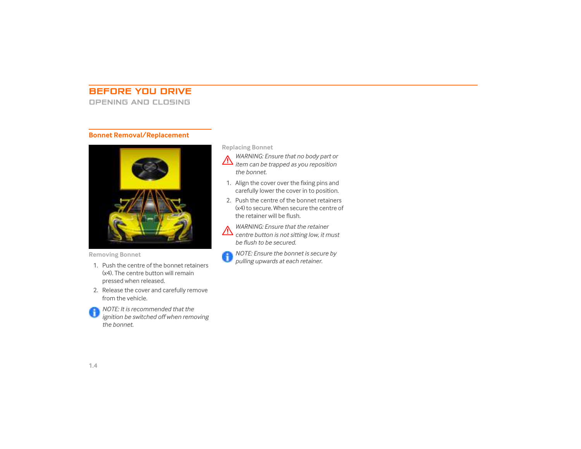# BEFORE YOU DRIVEOPENING AND CLOSING

### <span id="page-11-0"></span>**Bonnet Removal/Replacement**



**Removing Bonnet**

- 1. Push the centre of the bonnet retainers (x4). The centre button will remain pressed when released.
- 2. Release the cover and carefully remove from the vehicle.
- *NOTE: It is recommended that the ignition be switched off when removing the bonnet.*

**Replacing Bonnet**



*WARNING: Ensure that no body part or item can be trapped as you reposition the bonnet.*

- 1. Align the cover over the fixing pins and carefully lower the cover in to position.
- 2. Push the centre of the bonnet retainers (x4) to secure. When secure the centre of the retainer will be flush.



*WARNING: Ensure that the retainer centre button is not sitting low, it must be flush to be secured.*



*NOTE: Ensure the bonnet is secure by pulling upwards at each retainer.*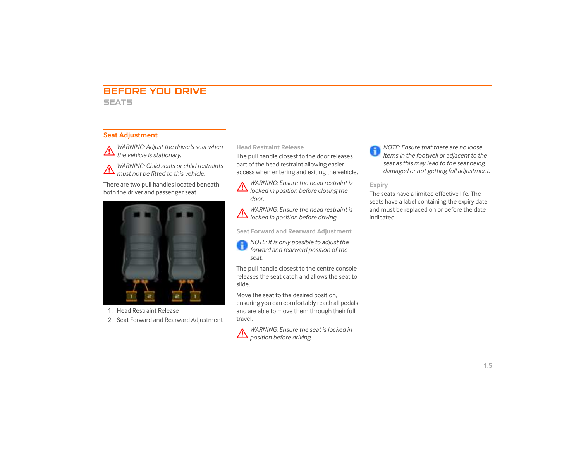# BEFORE YOU DRIVE**SEATS**

### <span id="page-12-1"></span><span id="page-12-0"></span>**Seat Adjustment**



*WARNING: Adjust the driver's seat when the vehicle is stationary.*

*WARNING: Child seats or child restraints must not be fitted to this vehicle.*

There are two pull handles located beneath both the driver and passenger seat.



- 1. Head Restraint Release
- 2. Seat Forward and Rearward Adjustment

#### **Head Restraint Release**

The pull handle closest to the door releases part of the head restraint allowing easier access when entering and exiting the vehicle.



*WARNING: Ensure the head restraint is locked in position before closing the door.*

*WARNING: Ensure the head restraint is locked in position before driving.*

**Seat Forward and Rearward Adjustment**

*NOTE: It is only possible to adjust the forward and rearward position of the seat.*

The pull handle closest to the centre console releases the seat catch and allows the seat to slide.

Move the seat to the desired position, ensuring you can comfortably reach all pedals and are able to move them through their full travel.



*WARNING: Ensure the seat is locked in position before driving.*

*NOTE: Ensure that there are no loose items in the footwell or adjacent to the seat as this may lead to the seat being damaged or not getting full adjustment.*

#### **Expiry**

The seats have a limited effective life. The seats have a label containing the expiry date and must be replaced on or before the date indicated.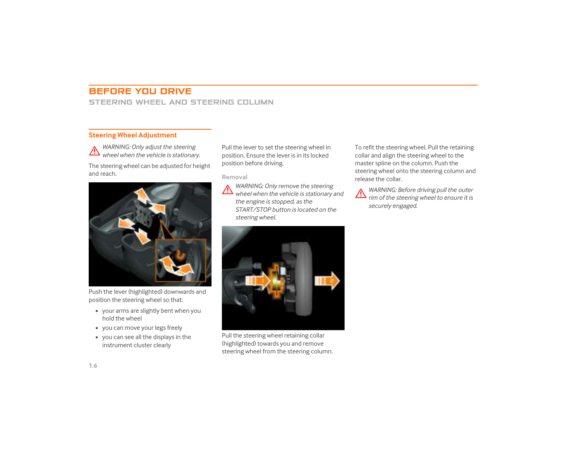STEERING WHEEL AND STEERING COLUMN

# <span id="page-13-1"></span><span id="page-13-0"></span>**Steering Wheel Adjustment**

*WARNING: Only adjust the steering wheel when the vehicle is stationary.*

The steering wheel can be adjusted for height and reach.



Push the lever (highlighted) downwards and position the steering wheel so that:

- your arms are slightly bent when you hold the wheel
- you can move your legs freely
- you can see all the displays in the instrument cluster clearly

Pull the lever to set the steering wheel in position. Ensure the lever is in its locked position before driving.

**Removal**

*WARNING: Only remove the steering wheel when the vehicle is stationary and the engine is stopped, as the START/STOP button is located on the steering wheel.*



Pull the steering wheel retaining collar (highlighted) towards you and remove steering wheel from the steering column.

To refit the steering wheel, Pull the retaining collar and align the steering wheel to the master spline on the column. Push the steering wheel onto the steering column and release the collar.

*WARNING: Before driving pull the outer*   $\sqrt{2}$ *rim of the steering wheel to ensure it is securely engaged.*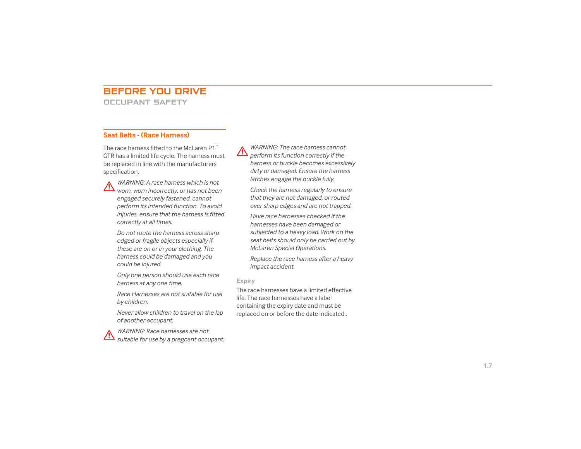OCCUPANT SAFETY

### <span id="page-14-1"></span><span id="page-14-0"></span>**Seat Belts - (Race Harness)**

The race harness fitted to the McLaren P1™ GTR has a limited life cycle. The harness must be replaced in line with the manufacturers specification.



*WARNING: A race harness which is not worn, worn incorrectly, or has not been engaged securely fastened, cannot perform its intended function. To avoid injuries, ensure that the harness is fitted correctly at all times.*

*Do not route the harness across sharp edged or fragile objects especially if these are on or in your clothing. The harness could be damaged and you could be injured.*

*Only one person should use each race harness at any one time.*

*Race Harnesses are not suitable for use by children.*

*Never allow children to travel on the lap of another occupant.*



*WARNING: The race harness cannot perform its function correctly if the harness or buckle becomes excessively dirty or damaged. Ensure the harness latches engage the buckle fully.*

*Check the harness regularly to ensure that they are not damaged, or routed over sharp edges and are not trapped.* 

*Have race harnesses checked if the harnesses have been damaged or subjected to a heavy load. Work on the seat belts should only be carried out by McLaren Special Operations.*

*Replace the race harness after a heavy impact accident.*

#### **Expiry**

The race harnesses have a limited effective life. The race harnesses have a label containing the expiry date and must be replaced on or before the date indicated..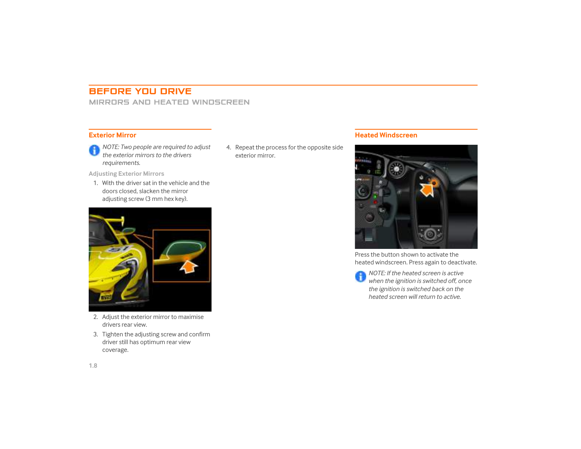MIRRORS AND HEATED WINDSCREEN

# <span id="page-15-1"></span><span id="page-15-0"></span>**Exterior Mirror**



- *NOTE: Two people are required to adjust the exterior mirrors to the drivers requirements.*
- **Adjusting Exterior Mirrors**
	- 1. With the driver sat in the vehicle and the doors closed, slacken the mirror adjusting screw (3 mm hex key).



- 2. Adjust the exterior mirror to maximise drivers rear view.
- 3. Tighten the adjusting screw and confirm driver still has optimum rear view coverage.

4. Repeat the process for the opposite side exterior mirror.

### <span id="page-15-2"></span>**Heated Windscreen**



Press the button shown to activate the heated windscreen. Press again to deactivate.

*NOTE: If the heated screen is active when the ignition is switched off, once the ignition is switched back on the heated screen will return to active.*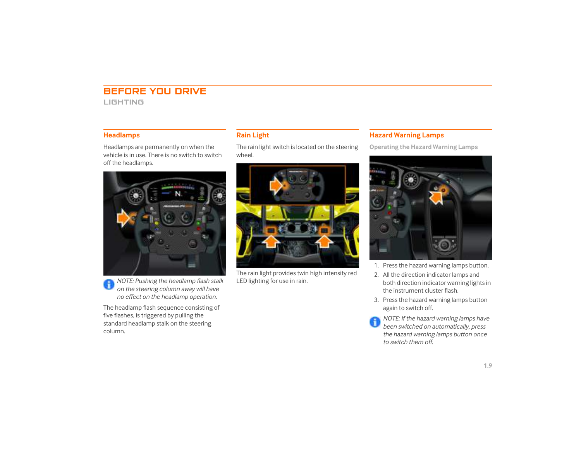LIGHTING

### <span id="page-16-1"></span><span id="page-16-0"></span>**Headlamps**

Headlamps are permanently on when the vehicle is in use. There is no switch to switch off the headlamps.



*NOTE: Pushing the headlamp flash stalk on the steering column away will have no effect on the headlamp operation.*

The headlamp flash sequence consisting of five flashes, is triggered by pulling the standard headlamp stalk on the steering column.

### <span id="page-16-2"></span>**Rain Light**

The rain light switch is located on the steering wheel.



The rain light provides twin high intensity red LED lighting for use in rain.

## <span id="page-16-3"></span>**Hazard Warning Lamps**

**Operating the Hazard Warning Lamps**



- 1. Press the hazard warning lamps button.
- 2. All the direction indicator lamps and both direction indicator warning lights in the instrument cluster flash.
- 3. Press the hazard warning lamps button again to switch off.
- *NOTE: If the hazard warning lamps have been switched on automatically, press the hazard warning lamps button once to switch them off.*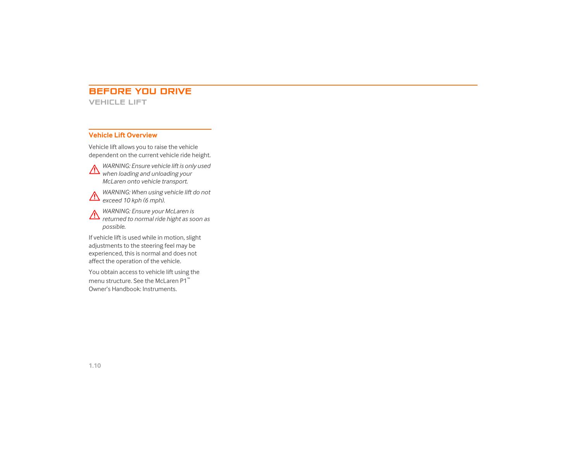VEHICLE LIFT

### <span id="page-17-1"></span><span id="page-17-0"></span>**Vehicle Lift Overview**

Vehicle lift allows you to raise the vehicle dependent on the current vehicle ride height.



*WARNING: Ensure vehicle lift is only used when loading and unloading your McLaren onto vehicle transport.*



*WARNING: When using vehicle lift do not exceed 10 kph (6 mph).*



*WARNING: Ensure your McLaren is returned to normal ride hight as soon as possible.*

If vehicle lift is used while in motion, slight adjustments to the steering feel may be experienced, this is normal and does not affect the operation of the vehicle.

You obtain access to vehicle lift using the menu structure. See the McLaren P1™ Owner's Handbook: Instruments.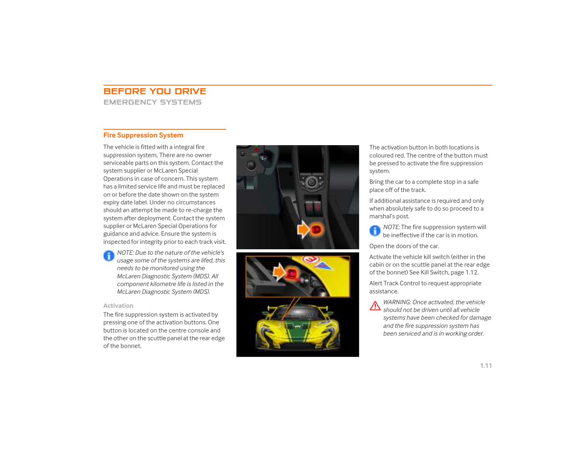# BEFORE YOU DRIVEEMERGENCY SYSTEMS

# <span id="page-18-1"></span><span id="page-18-0"></span>**Fire Suppression System**

The vehicle is fitted with a integral fire suppression system, There are no owner serviceable parts on this system. Contact the system supplier or McLaren Special Operations in case of concern. This system has a limited service life and must be replaced on or before the date shown on the system expiry date label. Under no circumstances should an attempt be made to re-charge the system after deployment. Contact the system supplier or McLaren Special Operations for guidance and advice. Ensure the system is inspected for integrity prior to each track visit.

*NOTE: Due to the nature of the vehicle's usage some of the systems are lifed, this needs to be monitored using the McLaren Diagnostic System (MDS). All component kilometre life is listed in the McLaren Diagnostic System (MDS).*

#### **Activation**

The fire suppression system is activated by pressing one of the activation buttons. One button is located on the centre console and the other on the scuttle panel at the rear edge of the bonnet.





The activation button in both locations is coloured red. The centre of the button must be pressed to activate the fire suppression system.

Bring the car to a complete stop in a safe place off of the track.

If additional assistance is required and only when absolutely safe to do so proceed to a marshal's post.

*NOTE:* The fire suppression system will be ineffective if the car is in motion.

Open the doors of the car.

Activate the vehicle kill switch (either in the cabin or on the scuttle panel at the rear edge of the bonnet) See [Kill Switch, page](#page-19-1) 1.12.

Alert Track Control to request appropriate assistance.

*WARNING: Once activated, the vehicle should not be driven until all vehicle systems have been checked for damage and the fire suppression system has been serviced and is in working order.*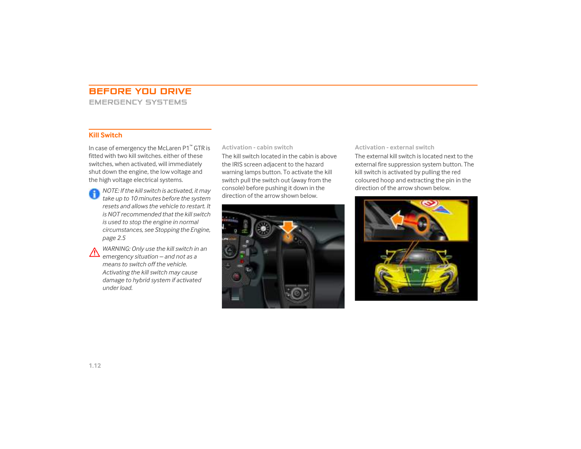# BEFORE YOU DRIVEEMERGENCY SYSTEMS

### <span id="page-19-1"></span><span id="page-19-0"></span>**Kill Switch**

In case of emergency the McLaren P1™ GTR is fitted with two kill switches. either of these switches, when activated, will immediately shut down the engine, the low voltage and the high voltage electrical systems.

*NOTE: If the kill switch is activated, it may take up to 10 minutes before the system resets and allows the vehicle to restart. It is NOT recommended that the kill switch is used to stop the engine in normal circumstances, see [Stopping the Engine,](#page-26-0)  [page](#page-26-0) 2.5*

*WARNING: Only use the kill switch in an emergency situation – and not as a means to switch off the vehicle. Activating the kill switch may cause damage to hybrid system if activated under load.*

#### **Activation - cabin switch**

The kill switch located in the cabin is above the IRIS screen adjacent to the hazard warning lamps button. To activate the kill switch pull the switch out (away from the console) before pushing it down in the direction of the arrow shown below.



#### **Activation - external switch**

The external kill switch is located next to the external fire suppression system button. The kill switch is activated by pulling the red coloured hoop and extracting the pin in the direction of the arrow shown below.

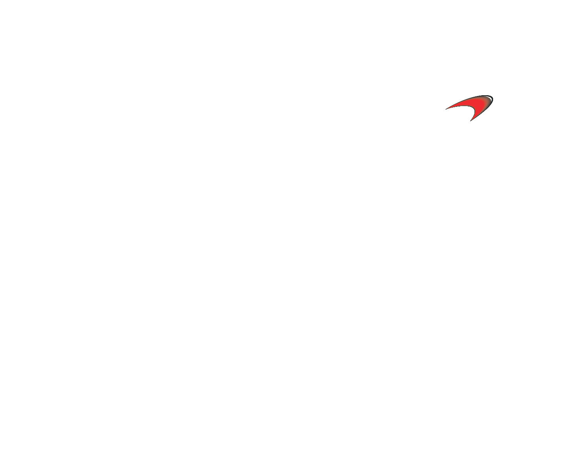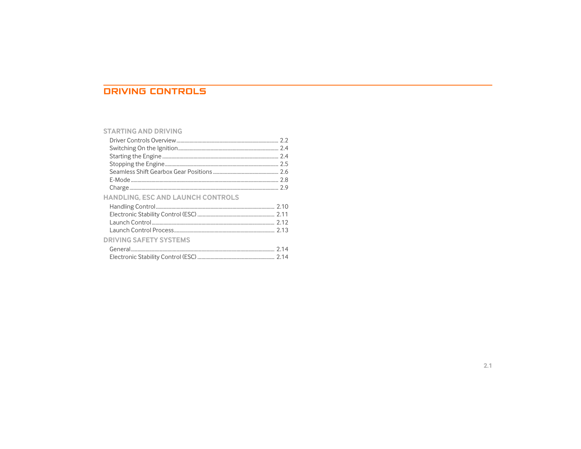### <span id="page-22-0"></span>**STARTING AND DRIVING**

# **HANDLING, ESC AND LAUNCH CONTROLS**

| <b>DRIVING SAFETY SYSTEMS</b> |  |
|-------------------------------|--|
|                               |  |
|                               |  |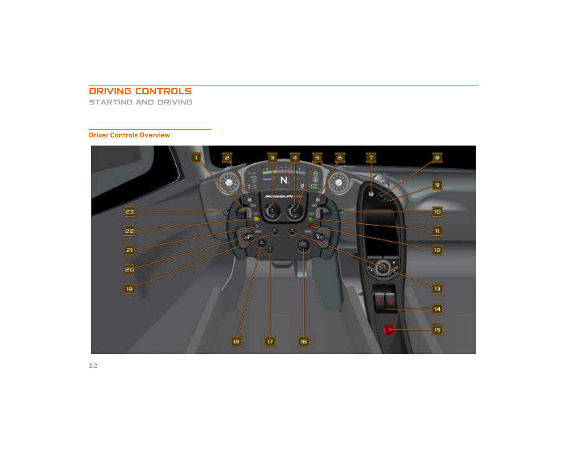# DRIVING CONTROLS STARTING AND DRIVING

## <span id="page-23-1"></span><span id="page-23-0"></span>**Driver Controls Overview**

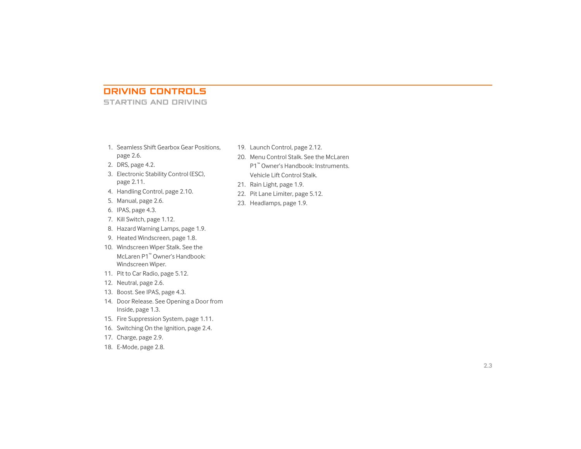STARTING AND DRIVING

- 1. [Seamless Shift Gearbox Gear Positions,](#page-27-1)  [page](#page-27-1) 2.6.
- 2. [DRS, page](#page-47-0) 4.2.
- 3. [Electronic Stability Control \(ESC\),](#page-32-0)  [page](#page-32-0) 2.11.
- 4. [Handling Control, page](#page-31-1) 2.10.
- 5. [Manual, page](#page-27-2) 2.6.
- 6. [IPAS, page](#page-48-0) 4.3.
- 7. [Kill Switch, page](#page-19-0) 1.12.
- 8. [Hazard Warning Lamps, page](#page-16-3) 1.9.
- 9. [Heated Windscreen, page](#page-15-2) 1.8.
- 10. Windscreen Wiper Stalk. See the McLaren P1™ Owner's Handbook: Windscreen Wiper.
- 11. [Pit to Car Radio, page](#page-63-0) 5.12.
- 12. [Neutral, page](#page-27-3) 2.6.
- 13. Boost. See [IPAS, page](#page-48-0) 4.3.
- 14. Door Release. See [Opening a Door from](#page-10-0)  [Inside, page](#page-10-0) 1.3.
- 15. [Fire Suppression System, page](#page-18-1) 1.11.
- 16. [Switching On the Ignition, page](#page-25-2) 2.4.
- 17. [Charge, page](#page-30-1) 2.9.
- 18. [E-Mode, page](#page-29-1) 2.8.
- 19. [Launch Control, page](#page-33-0) 2.12.
- 20. Menu Control Stalk. See the McLaren P1™ Owner's Handbook: Instruments.Vehicle Lift Control Stalk.
- 21. [Rain Light, page](#page-16-2) 1.9.
- 22. [Pit Lane Limiter, page](#page-63-1) 5.12.
- 23. [Headlamps, page](#page-16-1) 1.9.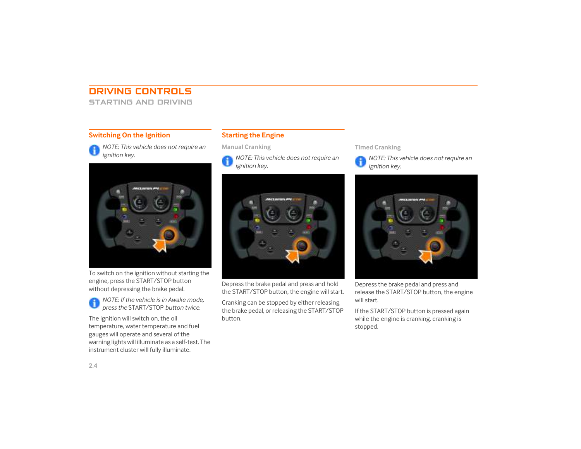# DRIVING CONTROLSSTARTING AND DRIVING

### <span id="page-25-2"></span><span id="page-25-0"></span>**Switching On the Ignition**

*NOTE: This vehicle does not require an ignition key.*



To switch on the ignition without starting the engine, press the START/STOP button without depressing the brake pedal.



The ignition will switch on, the oil temperature, water temperature and fuel gauges will operate and several of the warning lights will illuminate as a self-test. The instrument cluster will fully illuminate.

# <span id="page-25-1"></span>**Starting the Engine**

**Manual Cranking**



*NOTE: This vehicle does not require an ignition key.*



Depress the brake pedal and press and hold the START/STOP button, the engine will start.

Cranking can be stopped by either releasing the brake pedal, or releasing the START/STOP button.

#### **Timed Cranking**



*NOTE: This vehicle does not require an ignition key.*



Depress the brake pedal and press and release the START/STOP button, the engine will start.

If the START/STOP button is pressed again while the engine is cranking, cranking is stopped.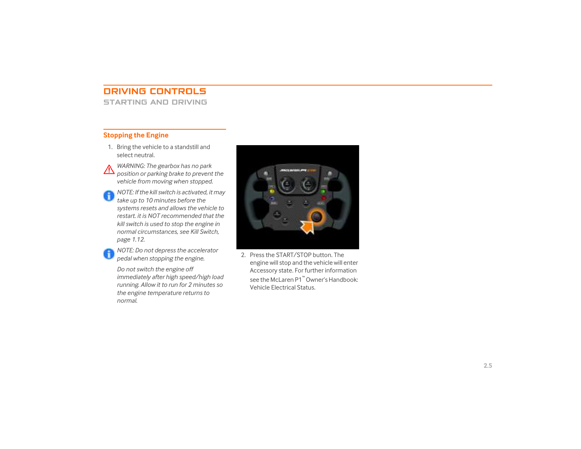STARTING AND DRIVING

### <span id="page-26-0"></span>**Stopping the Engine**

- 1. Bring the vehicle to a standstill and select neutral.
- *WARNING: The gearbox has no park position or parking brake to prevent the vehicle from moving when stopped.*
- *NOTE: If the kill switch is activated, it may take up to 10 minutes before the systems resets and allows the vehicle to restart. it is NOT recommended that the kill switch is used to stop the engine in normal circumstances, see [Kill Switch,](#page-19-0)  [page](#page-19-0) 1.12.*
- 
- *NOTE: Do not depress the accelerator pedal when stopping the engine.*

*Do not switch the engine off immediately after high speed/high load running. Allow it to run for 2 minutes so the engine temperature returns to normal.*



2. Press the START/STOP button. The engine will stop and the vehicle will enter Accessory state. For further information see the McLaren P1™ Owner's Handbook: Vehicle Electrical Status.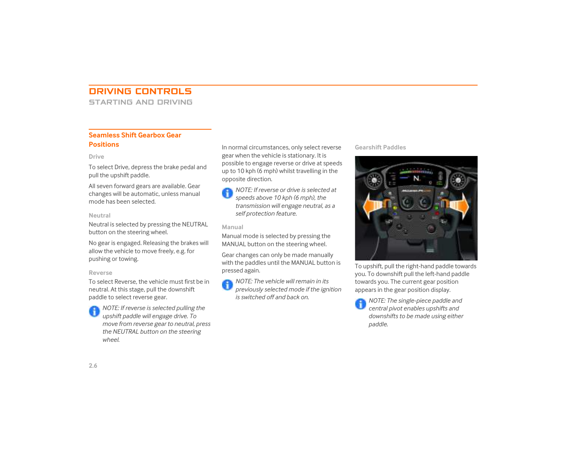# <span id="page-27-1"></span><span id="page-27-0"></span>**Seamless Shift Gearbox Gear Positions**

#### **Drive**

To select Drive, depress the brake pedal and pull the upshift paddle.

All seven forward gears are available. Gear changes will be automatic, unless manual mode has been selected.

#### <span id="page-27-3"></span>**Neutral**

Neutral is selected by pressing the NEUTRAL button on the steering wheel.

No gear is engaged. Releasing the brakes will allow the vehicle to move freely, e.g. for pushing or towing.

#### **Reverse**

To select Reverse, the vehicle must first be in neutral. At this stage, pull the downshift paddle to select reverse gear.

*NOTE: If reverse is selected pulling the upshift paddle will engage drive. To move from reverse gear to neutral, press the NEUTRAL button on the steering wheel.*

In normal circumstances, only select reverse gear when the vehicle is stationary. It is possible to engage reverse or drive at speeds up to 10 kph (6 mph) whilst travelling in the opposite direction.

*NOTE: If reverse or drive is selected at speeds above 10 kph (6 mph), the transmission will engage neutral, as a self protection feature.*

#### <span id="page-27-2"></span>**Manual**

Manual mode is selected by pressing the MANUAL button on the steering wheel.

Gear changes can only be made manually with the paddles until the MANUAL button is pressed again.

*NOTE: The vehicle will remain in its previously selected mode if the ignition is switched off and back on.*

#### **Gearshift Paddles**



To upshift, pull the right-hand paddle towards you. To downshift pull the left-hand paddle towards you. The current gear position appears in the gear position display.

*NOTE: The single-piece paddle and central pivot enables upshifts and downshifts to be made using either paddle.*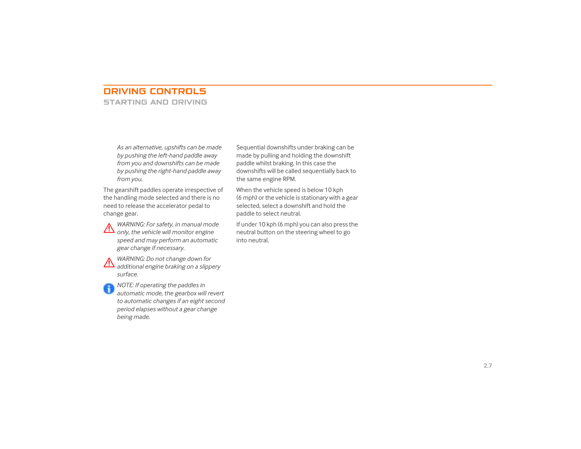# DRIVING CONTROLSSTARTING AND DRIVING

*As an alternative, upshifts can be made by pushing the left-hand paddle away from you and downshifts can be made by pushing the right-hand paddle away from you.*

The gearshift paddles operate irrespective of the handling mode selected and there is no need to release the accelerator pedal to change gear.

- *WARNING: For safety, in manual mode only, the vehicle will monitor engine speed and may perform an automatic gear change if necessary.*
- 
- *WARNING: Do not change down for additional engine braking on a slippery surface.*

*NOTE: If operating the paddles in automatic mode, the gearbox will revert to automatic changes if an eight second period elapses without a gear change being made.*

Sequential downshifts under braking can be made by pulling and holding the downshift paddle whilst braking. In this case the downshifts will be called sequentially back to the same engine RPM.

When the vehicle speed is below 10 kph (6 mph) or the vehicle is stationary with a gear selected, select a downshift and hold the paddle to select neutral.

If under 10 kph (6 mph) you can also press the neutral button on the steering wheel to go into neutral.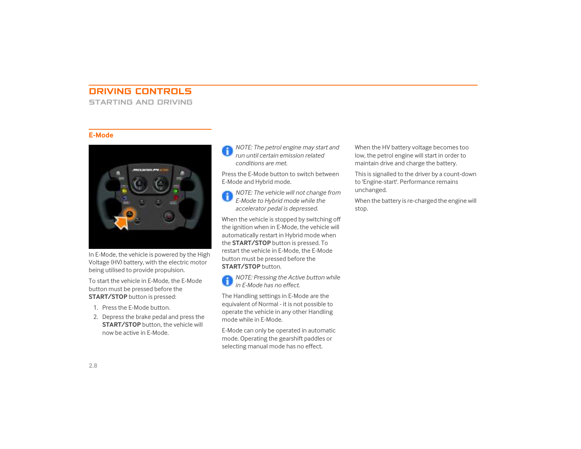# DRIVING CONTROLSSTARTING AND DRIVING

### <span id="page-29-1"></span><span id="page-29-0"></span>**E-Mode**



In E-Mode, the vehicle is powered by the High Voltage (HV) battery, with the electric motor being utilised to provide propulsion.

To start the vehicle in E-Mode, the E-Mode button must be pressed before the **START/STOP** button is pressed:

- 1. Press the E-Mode button.
- 2. Depress the brake pedal and press the **START/STOP** button, the vehicle will now be active in E-Mode.

*NOTE: The petrol engine may start and run until certain emission related conditions are met.*

Press the E-Mode button to switch between E-Mode and Hybrid mode.

*NOTE: The vehicle will not change from E-Mode to Hybrid mode while the accelerator pedal is depressed.*

When the vehicle is stopped by switching off the ignition when in E-Mode, the vehicle will automatically restart in Hybrid mode when the **START/STOP** button is pressed. To restart the vehicle in E-Mode, the E-Mode button must be pressed before the **START/STOP** button.

*NOTE: Pressing the Active button while in E-Mode has no effect.*

The Handling settings in E-Mode are the equivalent of Normal - it is not possible to operate the vehicle in any other Handling mode while in E-Mode.

E-Mode can only be operated in automatic mode. Operating the gearshift paddles or selecting manual mode has no effect.

When the HV battery voltage becomes too low, the petrol engine will start in order to maintain drive and charge the battery.

This is signalled to the driver by a count-down to 'Engine-start'. Performance remains unchanged.

When the battery is re-charged the engine will stop.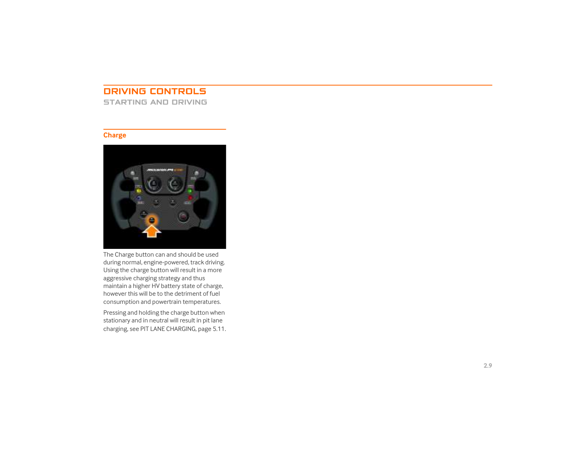STARTING AND DRIVING

### <span id="page-30-1"></span><span id="page-30-0"></span>**Charge**



The Charge button can and should be used during normal, engine-powered, track driving. Using the charge button will result in a more aggressive charging strategy and thus maintain a higher HV battery state of charge, however this will be to the detriment of fuel consumption and powertrain temperatures.

Pressing and holding the charge button when stationary and in neutral will result in pit lane charging, see [PIT LANE CHARGING, page](#page-62-0) 5.11.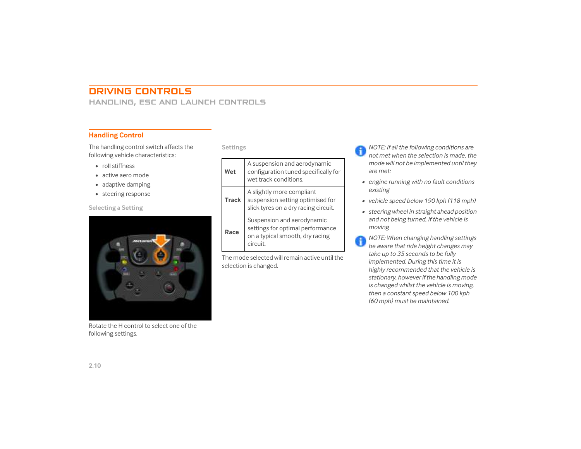HANDLING, ESC AND LAUNCH CONTROLS

### <span id="page-31-1"></span><span id="page-31-0"></span>**Handling Control**

The handling control switch affects the following vehicle characteristics:

- roll stiffness
- active aero mode
- adaptive damping
- steering response

#### **Selecting a Setting**



Rotate the H control to select one of the following settings.

**Settings**

| Wet          | A suspension and aerodynamic<br>configuration tuned specifically for<br>wet track conditions.                 |
|--------------|---------------------------------------------------------------------------------------------------------------|
| <b>Track</b> | A slightly more compliant<br>suspension setting optimised for<br>slick tyres on a dry racing circuit.         |
| Race         | Suspension and aerodynamic<br>settings for optimal performance<br>on a typical smooth, dry racing<br>circuit. |

The mode selected will remain active until the selection is changed.

- *NOTE: If all the following conditions are not met when the selection is made, the mode will not be implemented until they are met:*
- *engine running with no fault conditions existing*
- *vehicle speed below 190 kph (118 mph)*
- *steering wheel in straight ahead position and not being turned, if the vehicle is moving*
- *NOTE: When changing handling settings be aware that ride height changes may take up to 35 seconds to be fully implemented. During this time it is highly recommended that the vehicle is stationary, however if the handling mode is changed whilst the vehicle is moving, then a constant speed below 100 kph (60 mph) must be maintained.*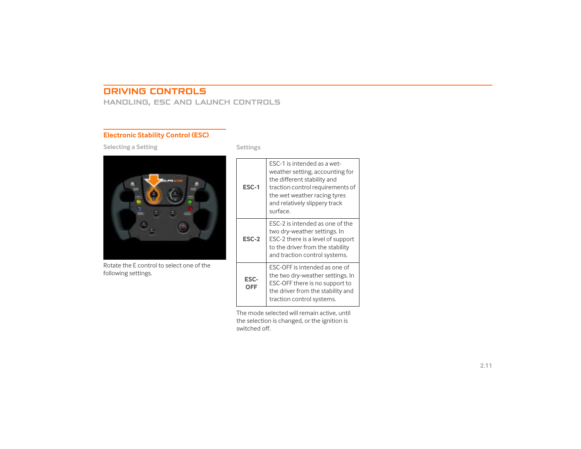# HANDLING, ESC AND LAUNCH CONTROLS

# <span id="page-32-0"></span>**Electronic Stability Control (ESC)**

### **Selecting a Setting**



Rotate the E control to select one of the following settings.

**Settings**

| ESC-1              | ESC-1 is intended as a wet-<br>weather setting, accounting for<br>the different stability and<br>traction control requirements of<br>the wet weather racing tyres<br>and relatively slippery track<br>surface. |
|--------------------|----------------------------------------------------------------------------------------------------------------------------------------------------------------------------------------------------------------|
| ESC-2              | ESC-2 is intended as one of the<br>two dry-weather settings. In<br>ESC-2 there is a level of support<br>to the driver from the stability<br>and traction control systems.                                      |
| ESC-<br><b>OFF</b> | ESC-OFF is intended as one of<br>the two dry-weather settings. In<br>ESC-OFF there is no support to<br>the driver from the stability and<br>traction control systems.                                          |

The mode selected will remain active, until the selection is changed, or the ignition is switched off.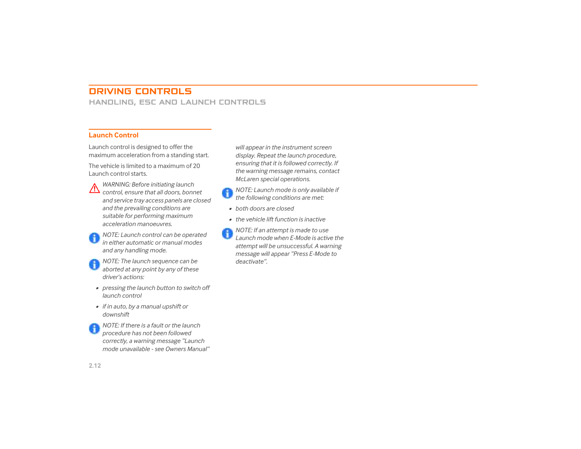HANDLING, ESC AND LAUNCH CONTROLS

### <span id="page-33-0"></span>**Launch Control**

Launch control is designed to offer the maximum acceleration from a standing start.

The vehicle is limited to a maximum of 20 Launch control starts.



*WARNING: Before initiating launch control, ensure that all doors, bonnet and service tray access panels are closed and the prevailing conditions are suitable for performing maximum acceleration manoeuvres.*

- *NOTE: Launch control can be operated in either automatic or manual modes and any handling mode.*
- *NOTE: The launch sequence can be aborted at any point by any of these driver's actions:*
- *pressing the launch button to switch off launch control*
- *if in auto, by a manual upshift or downshift*
- *NOTE: If there is a fault or the launch procedure has not been followed correctly, a warning message "Launch mode unavailable - see Owners Manual"*

*will appear in the instrument screen display. Repeat the launch procedure, ensuring that it is followed correctly. If the warning message remains, contact McLaren special operations.*

*NOTE: Launch mode is only available if*  Œ *the following conditions are met:* 

- *both doors are closed*
- *the vehicle lift function is inactive*
- *NOTE: If an attempt is made to use Launch mode when E-Mode is active the attempt will be unsuccessful. A warning message will appear "Press E-Mode to deactivate".*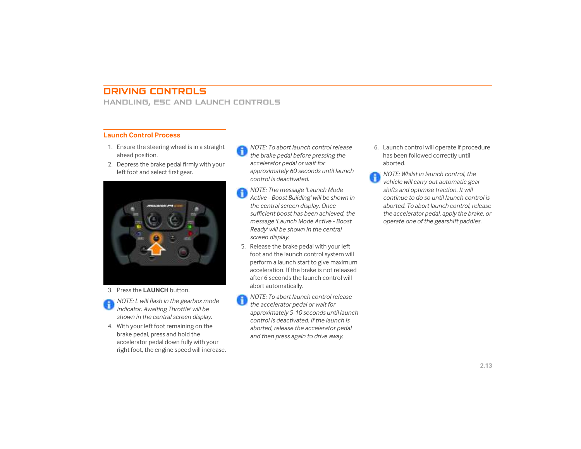HANDLING, ESC AND LAUNCH CONTROLS

### <span id="page-34-0"></span>**Launch Control Process**

- 1. Ensure the steering wheel is in a straight ahead position.
- 2. Depress the brake pedal firmly with your left foot and select first gear.



- 3. Press the **LAUNCH** button.
- *NOTE: L will flash in the gearbox mode indicator. Awaiting Throttle' will be shown in the central screen display.*
- 4. With your left foot remaining on the brake pedal, press and hold the accelerator pedal down fully with your right foot, the engine speed will increase.
- *NOTE: To abort launch control release the brake pedal before pressing the accelerator pedal or wait for approximately 60 seconds until launch control is deactivated.*
- *NOTE: The message 'Launch Mode Active - Boost Building' will be shown in the central screen display. Once sufficient boost has been achieved, the message 'Launch Mode Active - Boost Ready' will be shown in the central screen display.*
- 5. Release the brake pedal with your left foot and the launch control system will perform a launch start to give maximum acceleration. If the brake is not released after 6 seconds the launch control will abort automatically.
- *NOTE: To abort launch control release the accelerator pedal or wait for approximately 5-10 seconds until launch control is deactivated. If the launch is aborted, release the accelerator pedal and then press again to drive away.*
- 6. Launch control will operate if procedure has been followed correctly until aborted.
- *NOTE: Whilst in launch control, the vehicle will carry out automatic gear shifts and optimise traction. It will continue to do so until launch control is aborted. To abort launch control, release the accelerator pedal, apply the brake, or operate one of the gearshift paddles.*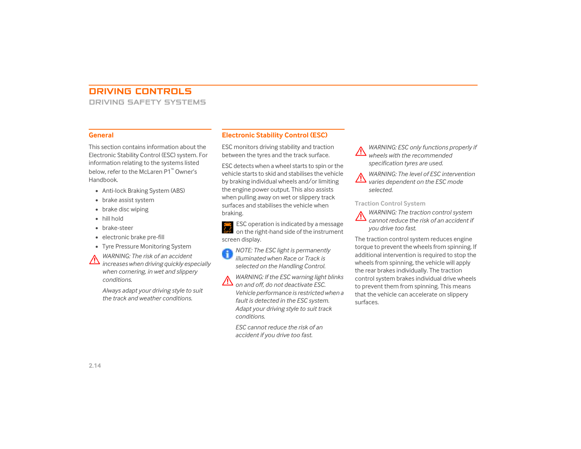# DRIVING CONTROLSDRIVING SAFETY SYSTEMS

#### <span id="page-35-1"></span><span id="page-35-0"></span>**General**

This section contains information about the Electronic Stability Control (ESC) system. For information relating to the systems listed below, refer to the McLaren P1™ Owner's Handbook.

- Anti-lock Braking System (ABS)
- brake assist system
- brake disc wiping
- hill hold
- brake-steer
- electronic brake pre-fill
- Tyre Pressure Monitoring System

*WARNING: The risk of an accident increases when driving quickly especially when cornering, in wet and slippery conditions.*

*Always adapt your driving style to suit the track and weather conditions.*

### <span id="page-35-2"></span>**Electronic Stability Control (ESC)**

ESC monitors driving stability and traction between the tyres and the track surface.

ESC detects when a wheel starts to spin or the vehicle starts to skid and stabilises the vehicle by braking individual wheels and/or limiting the engine power output. This also assists when pulling away on wet or slippery track surfaces and stabilises the vehicle when braking.

- ESC operation is indicated by a message on the right-hand side of the instrument screen display.
- *NOTE: The ESC light is permanently illuminated when Race or Track is selected on the Handling Control.*
- *WARNING: If the ESC warning light blinks*   $\sqrt{N}$ *on and off, do not deactivate ESC. Vehicle performance is restricted when a fault is detected in the ESC system. Adapt your driving style to suit track conditions.*

*ESC cannot reduce the risk of an accident if you drive too fast.*

*WARNING: ESC only functions properly if wheels with the recommended specification tyres are used.*

*WARNING: The level of ESC intervention varies dependent on the ESC mode selected.*

#### **Traction Control System**

*WARNING: The traction control system cannot reduce the risk of an accident if you drive too fast.*

The traction control system reduces engine torque to prevent the wheels from spinning. If additional intervention is required to stop the wheels from spinning, the vehicle will apply the rear brakes individually. The traction control system brakes individual drive wheels to prevent them from spinning. This means that the vehicle can accelerate on slippery surfaces.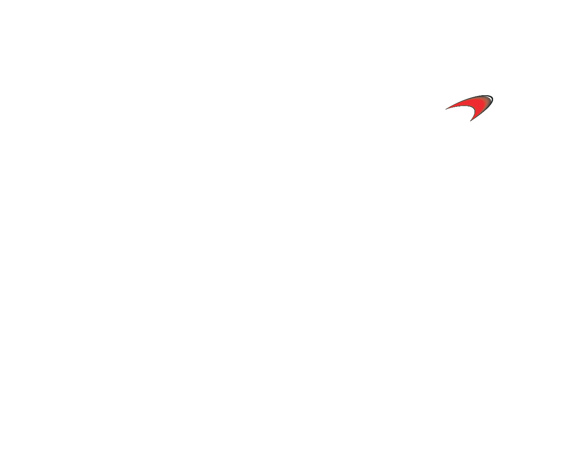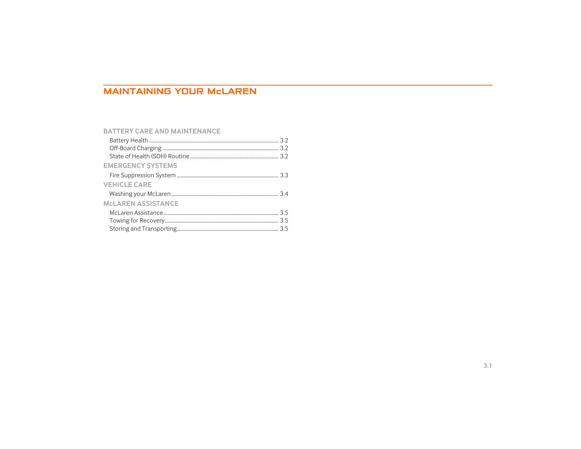#### **BATTERY CARE AND MAINTENANCE**

| <b>EMERGENCY SYSTEMS</b>  |  |
|---------------------------|--|
|                           |  |
| <b>VEHICLE CARE</b>       |  |
|                           |  |
| <b>MCLAREN ASSISTANCE</b> |  |
|                           |  |
|                           |  |
|                           |  |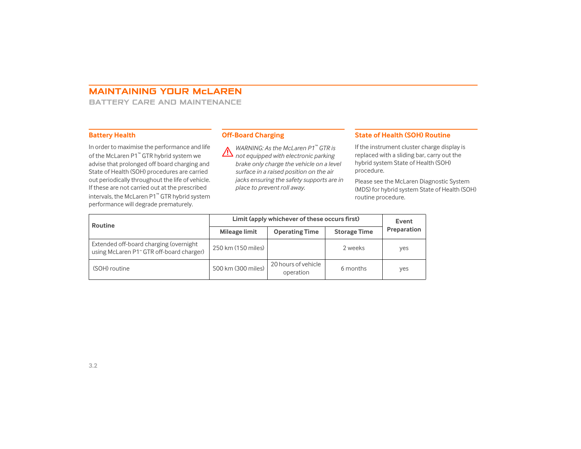BATTERY CARE AND MAINTENANCE

### <span id="page-39-1"></span><span id="page-39-0"></span>**Battery Health**

In order to maximise the performance and life of the McLaren P1™ GTR hybrid system we advise that prolonged off board charging and State of Health (SOH) procedures are carried out periodically throughout the life of vehicle. If these are not carried out at the prescribed intervals, the McLaren P1™ GTR hybrid system performance will degrade prematurely.

### <span id="page-39-2"></span>**Off-Board Charging**

*WARNING: As the McLaren P1™ GTR is*   $\sqrt{N}$ *not equipped with electronic parking brake only charge the vehicle on a level surface in a raised position on the air jacks ensuring the safety supports are in place to prevent roll away.*

#### <span id="page-39-3"></span>**State of Health (SOH) Routine**

If the instrument cluster charge display is replaced with a sliding bar, carry out the hybrid system State of Health (SOH) procedure.

Please see the McLaren Diagnostic System (MDS) for hybrid system State of Health (SOH) routine procedure.

| <b>Routine</b>                                                                     | Limit (apply whichever of these occurs first) |                                  |                     | Event       |
|------------------------------------------------------------------------------------|-----------------------------------------------|----------------------------------|---------------------|-------------|
|                                                                                    | Mileage limit                                 | <b>Operating Time</b>            | <b>Storage Time</b> | Preparation |
| Extended off-board charging (overnight<br>using McLaren P1" GTR off-board charger) | 250 km (150 miles)                            |                                  | 2 weeks             | yes         |
| (SOH) routine                                                                      | 500 km (300 miles)                            | 20 hours of vehicle<br>operation | 6 months            | yes         |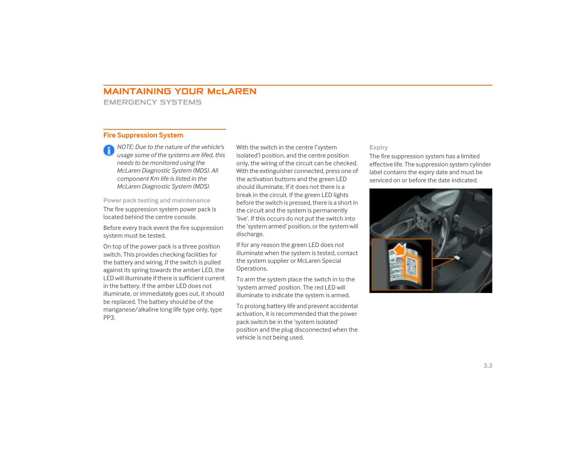EMERGENCY SYSTEMS

### <span id="page-40-1"></span><span id="page-40-0"></span>**Fire Suppression System**

*NOTE: Due to the nature of the vehicle's usage some of the systems are lifed, this needs to be monitored using the McLaren Diagnostic System (MDS). All component Km life is listed in the McLaren Diagnostic System (MDS).*

#### **Power pack testing and maintenance**

The fire suppression system power pack is located behind the centre console.

Before every track event the fire suppression system must be tested.

On top of the power pack is a three position switch. This provides checking facilities for the battery and wiring. If the switch is pulled against its spring towards the amber LED, the LED will illuminate if there is sufficient current in the battery. If the amber LED does not illuminate, or immediately goes out, it should be replaced. The battery should be of the manganese/alkaline long life type only, type PP3.

With the switch in the centre ('system isolated') position, and the centre position only, the wiring of the circuit can be checked. With the extinguisher connected, press one of the activation buttons and the green LED should illuminate, If it does not there is a break in the circuit. If the green LED lights before the switch is pressed, there is a short in the circuit and the system is permanently 'live'. If this occurs do not put the switch into the 'system armed' position, or the system will discharge.

If for any reason the green LED does not illuminate when the system is tested, contact the system supplier or McLaren Special Operations.

To arm the system place the switch in to the 'system armed' position. The red LED will illuminate to indicate the system is armed.

To prolong battery life and prevent accidental activation, it is recommended that the power pack switch be in the 'system isolated' position and the plug disconnected when the vehicle is not being used.

#### **Expiry**

The fire suppression system has a limited effective life. The suppression system cylinder label contains the expiry date and must be serviced on or before the date indicated.

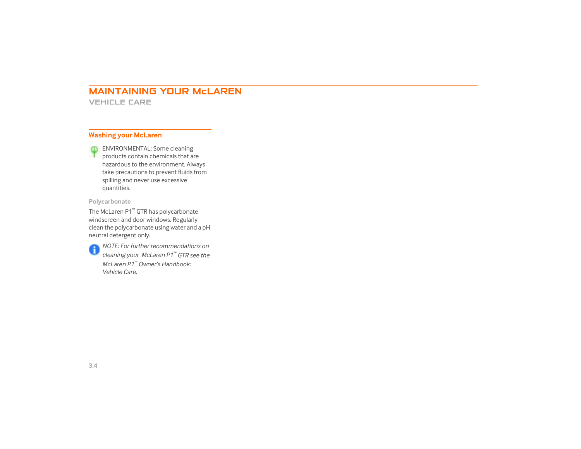VEHICLE CARE

### <span id="page-41-1"></span><span id="page-41-0"></span>**Washing your McLaren**

ENVIRONMENTAL: Some cleaning products contain chemicals that are hazardous to the environment. Always take precautions to prevent fluids from spilling and never use excessive quantities.

#### **Polycarbonate**

The McLaren P1™ GTR has polycarbonate windscreen and door windows. Regularly clean the polycarbonate using water and a pH neutral detergent only.



*NOTE: For further recommendations on cleaning your McLaren P1™ GTR see the McLaren P1™ Owner's Handbook: Vehicle Care.*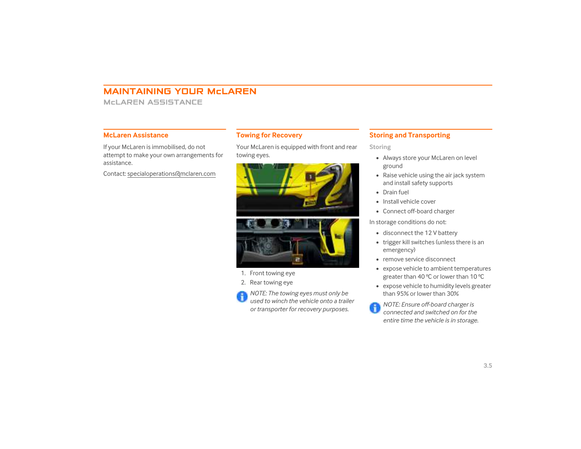McLAREN ASSISTANCE

#### <span id="page-42-1"></span><span id="page-42-0"></span>**McLaren Assistance**

If your McLaren is immobilised, do not attempt to make your own arrangements for assistance.

Contact: specialoperations@mclaren.com

### <span id="page-42-2"></span>**Towing for Recovery**

Your McLaren is equipped with front and rear towing eyes.



- 1. Front towing eye
- 2. Rear towing eye
- *NOTE: The towing eyes must only be used to winch the vehicle onto a trailer or transporter for recovery purposes.*

### <span id="page-42-3"></span>**Storing and Transporting**

**Storing**

- Always store your McLaren on level ground
- Raise vehicle using the air jack system and install safety supports
- Drain fuel
- Install vehicle cover
- Connect off-board charger

In storage conditions do not:

- disconnect the 12 V battery
- trigger kill switches (unless there is an emergency)
- remove service disconnect
- expose vehicle to ambient temperatures greater than 40 °C or lower than 10 °C
- expose vehicle to humidity levels greater than 95% or lower than 30%
- *NOTE: Ensure off-board charger is connected and switched on for the entire time the vehicle is in storage.*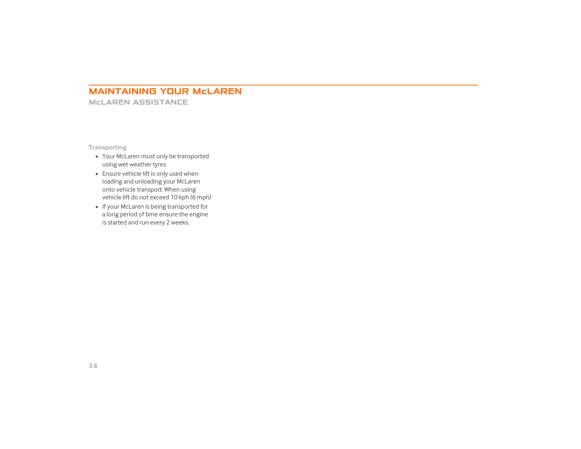McLAREN ASSISTANCE

### **Transporting**

- Your McLaren must only be transported using wet weather tyres
- Ensure vehicle lift is only used when loading and unloading your McLaren onto vehicle transport. When using vehicle lift do not exceed 10 kph (6 mph)
- If your McLaren is being transported for a long period of time ensure the engine is started and run every 2 weeks.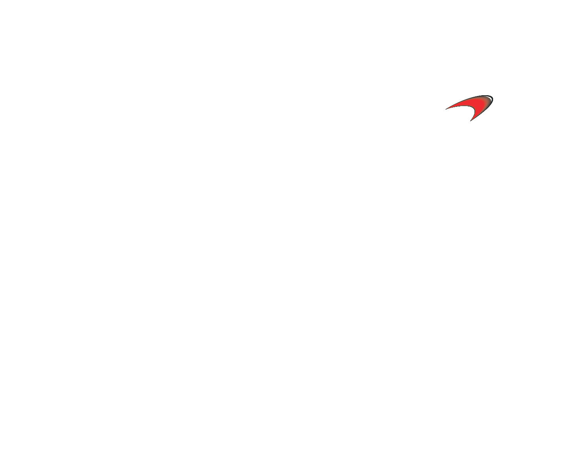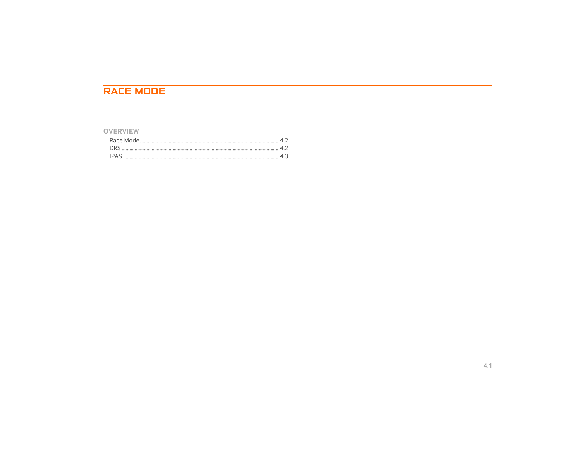# **RACE MODE**

#### **OVERVIEW**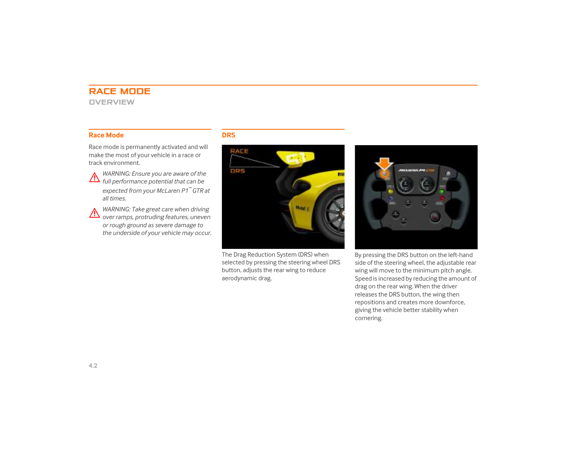### RACE MODE**OVERVIEW**

### <span id="page-47-1"></span><span id="page-47-0"></span>**Race Mode**

Race mode is permanently activated and will make the most of your vehicle in a race or track environment.

- *WARNING: Ensure you are aware of the full performance potential that can be expected from your McLaren P1™ GTR at all times.*
	- *WARNING: Take great care when driving over ramps, protruding features, uneven or rough ground as severe damage to the underside of your vehicle may occur.*

#### <span id="page-47-2"></span>**DRS**



The Drag Reduction System (DRS) when selected by pressing the steering wheel DRS button, adjusts the rear wing to reduce aerodynamic drag.



By pressing the DRS button on the left-hand side of the steering wheel, the adjustable rear wing will move to the minimum pitch angle. Speed is increased by reducing the amount of drag on the rear wing. When the driver releases the DRS button, the wing then repositions and creates more downforce, giving the vehicle better stability when cornering.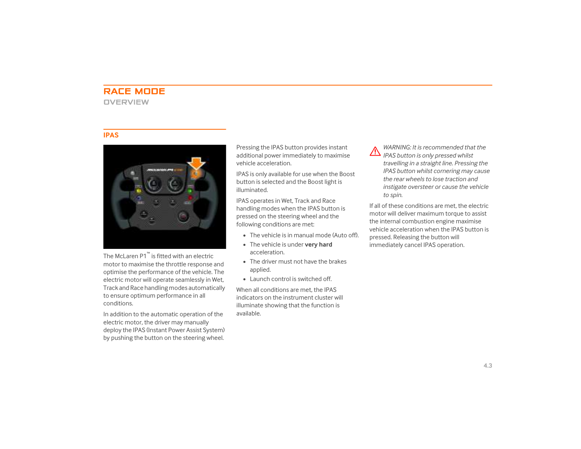# RACE MODE

**OVERVIEW** 

### <span id="page-48-0"></span>**IPAS**



The McLaren P1™ is fitted with an electric motor to maximise the throttle response and optimise the performance of the vehicle. The electric motor will operate seamlessly in Wet, Track and Race handling modes automatically to ensure optimum performance in all conditions.

In addition to the automatic operation of the electric motor, the driver may manually deploy the IPAS (Instant Power Assist System) by pushing the button on the steering wheel.

Pressing the IPAS button provides instant additional power immediately to maximise vehicle acceleration.

IPAS is only available for use when the Boost button is selected and the Boost light is illuminated.

IPAS operates in Wet, Track and Race handling modes when the IPAS button is pressed on the steering wheel and the following conditions are met:

- The vehicle is in manual mode (Auto off).
- The vehicle is under **very hard** acceleration.
- The driver must not have the brakes applied.
- Launch control is switched off.

When all conditions are met, the IPAS indicators on the instrument cluster will illuminate showing that the function is available.

*WARNING: It is recommended that the IPAS button is only pressed whilst travelling in a straight line. Pressing the IPAS button whilst cornering may cause the rear wheels to lose traction and instigate oversteer or cause the vehicle to spin.*

If all of these conditions are met, the electric motor will deliver maximum torque to assist the internal combustion engine maximise vehicle acceleration when the IPAS button is pressed. Releasing the button will immediately cancel IPAS operation.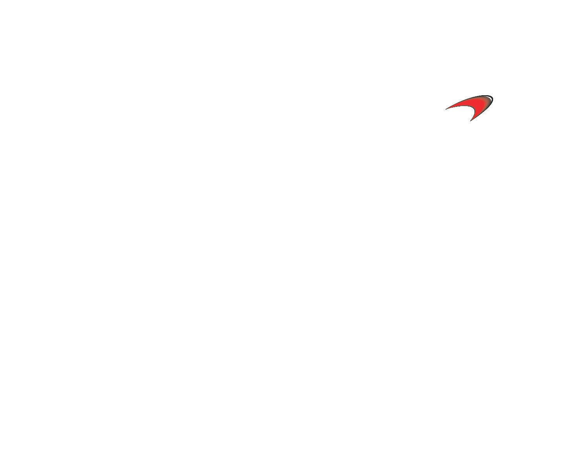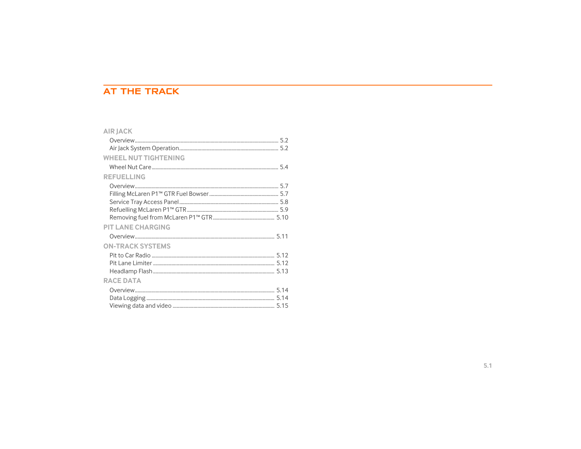# AT THE TRACK

| <b>AIR JACK</b>             |
|-----------------------------|
|                             |
|                             |
| <b>WHEEL NUT TIGHTENING</b> |
|                             |
| <b>REFUELLING</b>           |
|                             |
|                             |
|                             |
|                             |
|                             |
| <b>PIT LANE CHARGING</b>    |
|                             |
| <b>ON-TRACK SYSTEMS</b>     |
|                             |
|                             |
|                             |
| <b>RACE DATA</b>            |
|                             |
|                             |
|                             |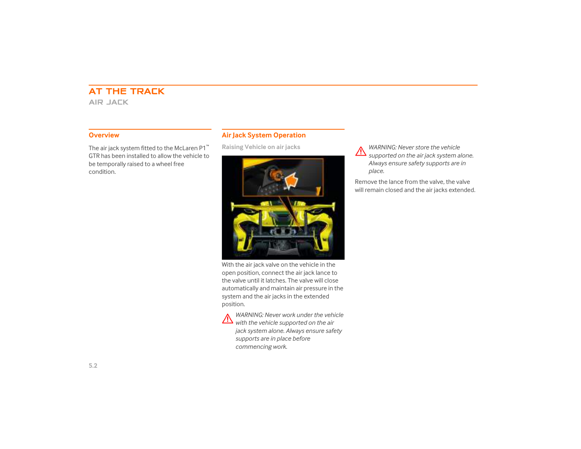## AT THE TRACKAIR JACK

#### <span id="page-53-1"></span><span id="page-53-0"></span>**Overview**

The air jack system fitted to the McLaren P1™ GTR has been installed to allow the vehicle to be temporally raised to a wheel free condition.

### <span id="page-53-2"></span>**Air Jack System Operation**

**Raising Vehicle on air jacks**



With the air jack valve on the vehicle in the open position, connect the air jack lance to the valve until it latches. The valve will close automatically and maintain air pressure in the system and the air jacks in the extended position.

*WARNING: Never work under the vehicle with the vehicle supported on the air jack system alone. Always ensure safety supports are in place before commencing work.*

*WARNING: Never store the vehicle supported on the air jack system alone. Always ensure safety supports are in place.*

Remove the lance from the valve, the valve will remain closed and the air jacks extended.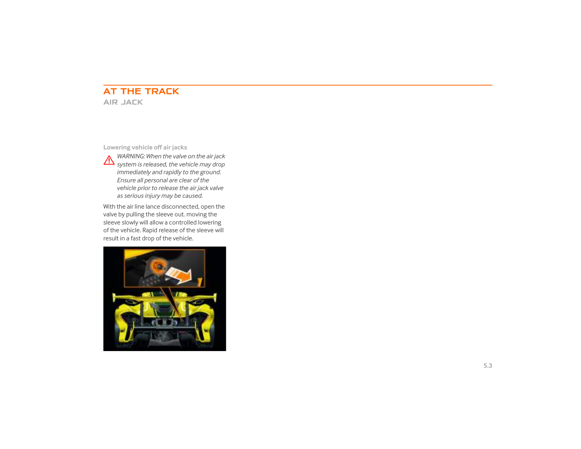# AT THE TRACKAIR JACK

**Lowering vehicle off air jacks**

*WARNING: When the valve on the air jack system is released, the vehicle may drop immediately and rapidly to the ground. Ensure all personal are clear of the vehicle prior to release the air jack valve as serious injury may be caused.*

With the air line lance disconnected, open the valve by pulling the sleeve out. moving the sleeve slowly will allow a controlled lowering of the vehicle. Rapid release of the sleeve will result in a fast drop of the vehicle.

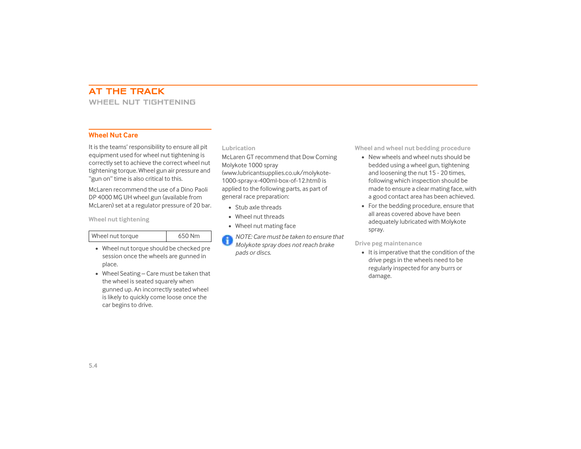# AT THE TRACK

WHEEL NUT TIGHTENING

### <span id="page-55-1"></span><span id="page-55-0"></span>**Wheel Nut Care**

It is the teams' responsibility to ensure all pit equipment used for wheel nut tightening is correctly set to achieve the correct wheel nut tightening torque. Wheel gun air pressure and "gun on" time is also critical to this.

McLaren recommend the use of a Dino Paoli DP 4000 MG UH wheel gun (available from McLaren) set at a regulator pressure of 20 bar.

**Wheel nut tightening**

| Wheel nut torque | 650 Nm |
|------------------|--------|
|------------------|--------|

- Wheel nut torque should be checked pre session once the wheels are gunned in place.
- Wheel Seating Care must be taken that the wheel is seated squarely when gunned up. An incorrectly seated wheel is likely to quickly come loose once the car begins to drive.

**Lubrication**

McLaren GT recommend that Dow Corning Molykote 1000 spray

(www.lubricantsupplies.co.uk/molykote-1000-spray-x-400ml-box-of-12.html) is applied to the following parts, as part of general race preparation:

- Stub axle threads
- Wheel nut threads
- Wheel nut mating face
- *NOTE: Care must be taken to ensure that Molykote spray does not reach brake pads or discs.*

**Wheel and wheel nut bedding procedure**

- New wheels and wheel nuts should be bedded using a wheel gun, tightening and loosening the nut 15 - 20 times, following which inspection should be made to ensure a clear mating face, with a good contact area has been achieved.
- For the bedding procedure, ensure that all areas covered above have been adequately lubricated with Molykote spray.

#### **Drive peg maintenance**

• It is imperative that the condition of the drive pegs in the wheels need to be regularly inspected for any burrs or damage.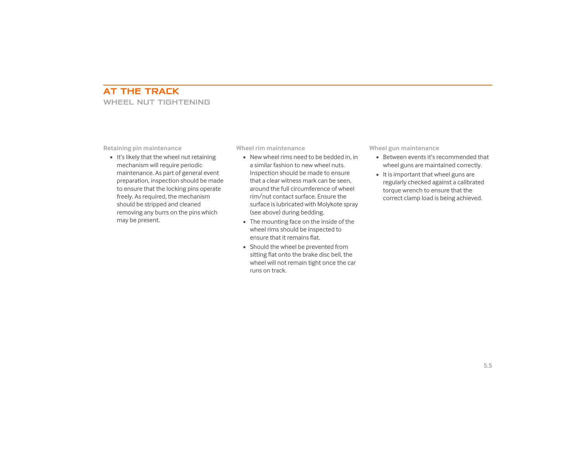# AT THE TRACKWHEEL NUT TIGHTENING

**Retaining pin maintenance**

• It's likely that the wheel nut retaining mechanism will require periodic maintenance. As part of general event preparation, inspection should be made to ensure that the locking pins operate freely. As required, the mechanism should be stripped and cleaned removing any burrs on the pins which may be present.

**Wheel rim maintenance**

- New wheel rims need to be bedded in, in a similar fashion to new wheel nuts. Inspection should be made to ensure that a clear witness mark can be seen, around the full circumference of wheel rim/nut contact surface. Ensure the surface is lubricated with Molykote spray (see above) during bedding.
- The mounting face on the inside of the wheel rims should be inspected to ensure that it remains flat.
- Should the wheel be prevented from sitting flat onto the brake disc bell, the wheel will not remain tight once the car runs on track.

**Wheel gun maintenance**

- Between events it's recommended that wheel guns are maintained correctly.
- It is important that wheel guns are regularly checked against a calibrated torque wrench to ensure that the correct clamp load is being achieved.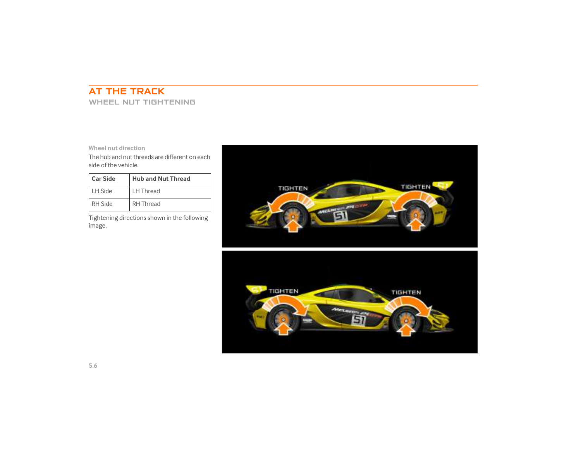# AT THE TRACK WHEEL NUT TIGHTENING

**Wheel nut direction**

The hub and nut threads are different on each side of the vehicle.

| <b>Car Side</b> | <b>Hub and Nut Thread</b> |
|-----------------|---------------------------|
| LH Side         | LH Thread                 |
| RH Side         | <b>RH</b> Thread          |

Tightening directions shown in the following image.



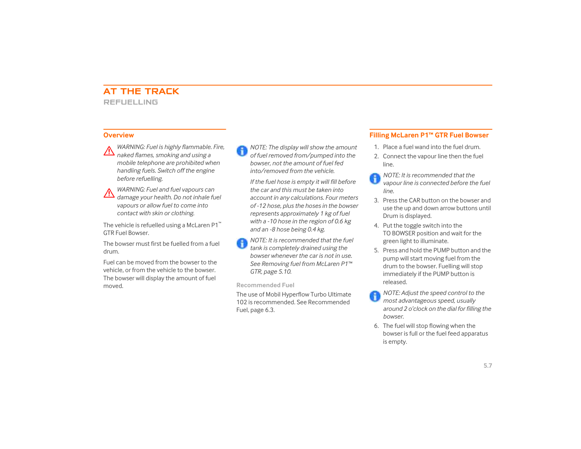#### <span id="page-58-1"></span><span id="page-58-0"></span>**Overview**

- *WARNING: Fuel is highly flammable. Fire, naked flames, smoking and using a mobile telephone are prohibited when handling fuels. Switch off the engine before refuelling.*
- *WARNING: Fuel and fuel vapours can damage your health. Do not inhale fuel vapours or allow fuel to come into contact with skin or clothing.*

The vehicle is refuelled using a McLaren P1™ GTR Fuel Bowser.

The bowser must first be fuelled from a fuel drum.

Fuel can be moved from the bowser to the vehicle, or from the vehicle to the bowser. The bowser will display the amount of fuel moved.

*NOTE: The display will show the amount of fuel removed from/pumped into the bowser, not the amount of fuel fed into/removed from the vehicle.*

*If the fuel hose is empty it will fill before the car and this must be taken into account in any calculations. Four meters of -12 hose, plus the hoses in the bowser represents approximately 1 kg of fuel with a -10 hose in the region of 0.6 kg and an -8 hose being 0.4 kg.*

*NOTE: It is recommended that the fuel tank is completely drained using the bowser whenever the car is not in use. See [Removing fuel from McLaren P1™](#page-61-1)  [GTR, page](#page-61-1) 5.10.*

#### **Recommended Fuel**

The use of Mobil Hyperflow Turbo Ultimate 102 is recommended. See [Recommended](#page-72-0) [Fuel, page](#page-72-0) 6.3.

#### <span id="page-58-2"></span>**Filling McLaren P1™ GTR Fuel Bowser**

- 1. Place a fuel wand into the fuel drum.
- 2. Connect the vapour line then the fuel line.
- *NOTE: It is recommended that the*
- *vapour line is connected before the fuel line.*
- 3. Press the CAR button on the bowser and use the up and down arrow buttons until Drum is displayed.
- 4. Put the toggle switch into the TO BOWSER position and wait for the green light to illuminate.
- 5. Press and hold the PUMP button and the pump will start moving fuel from the drum to the bowser. Fuelling will stop immediately if the PUMP button is released.
- *NOTE: Adjust the speed control to the most advantageous speed, usually around 2 o'clock on the dial for filling the bowser.*
- 6. The fuel will stop flowing when the bowser is full or the fuel feed apparatus is empty.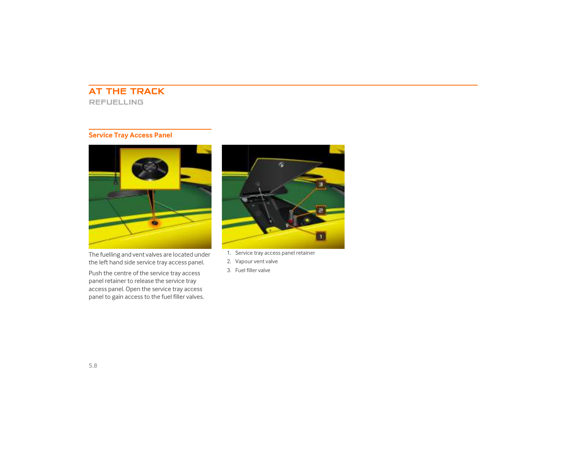### <span id="page-59-1"></span><span id="page-59-0"></span>**Service Tray Access Panel**



The fuelling and vent valves are located under the left hand side service tray access panel.

Push the centre of the service tray access panel retainer to release the service tray access panel. Open the service tray access panel to gain access to the fuel filler valves.



- 1. Service tray access panel retainer
- 2. Vapour vent valve
- 3. Fuel filler valve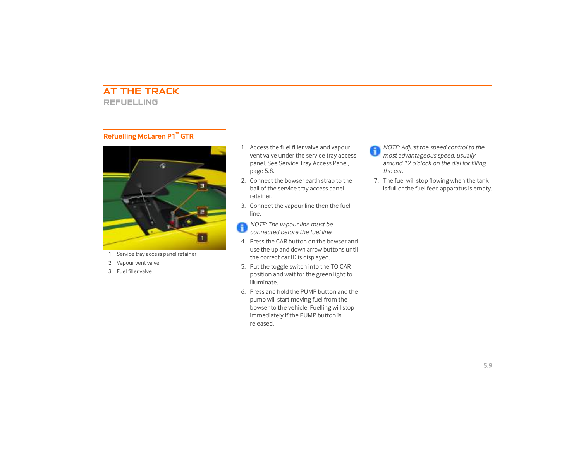### <span id="page-60-0"></span>**Refuelling McLaren P1™ GTR**



- 1. Service tray access panel retainer
- 2. Vapour vent valve
- 3. Fuel filler valve
- 1. Access the fuel filler valve and vapour vent valve under the service tray access panel. See [Service Tray Access Panel,](#page-59-1)  [page](#page-59-1) 5.8.
- 2. Connect the bowser earth strap to the ball of the service tray access panel retainer.
- 3. Connect the vapour line then the fuel line.
- *NOTE: The vapour line must be connected before the fuel line.*
- 4. Press the CAR button on the bowser and use the up and down arrow buttons until the correct car ID is displayed.
- 5. Put the toggle switch into the TO CAR position and wait for the green light to illuminate.
- 6. Press and hold the PUMP button and the pump will start moving fuel from the bowser to the vehicle. Fuelling will stop immediately if the PUMP button is released.
- *NOTE: Adjust the speed control to the most advantageous speed, usually around 12 o'clock on the dial for filling the car.*
- 7. The fuel will stop flowing when the tank is full or the fuel feed apparatus is empty.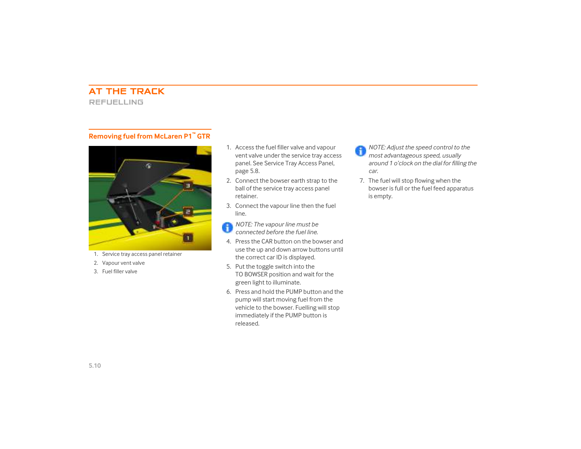### <span id="page-61-1"></span><span id="page-61-0"></span>**Removing fuel from McLaren P1™ GTR**



- 1. Service tray access panel retainer
- 2. Vapour vent valve
- 3. Fuel filler valve
- 1. Access the fuel filler valve and vapour vent valve under the service tray access panel. See [Service Tray Access Panel,](#page-59-1)  [page](#page-59-1) 5.8.
- 2. Connect the bowser earth strap to the ball of the service tray access panel retainer.
- 3. Connect the vapour line then the fuel line.
- *NOTE: The vapour line must be connected before the fuel line.*
- 4. Press the CAR button on the bowser and use the up and down arrow buttons until the correct car ID is displayed.
- 5. Put the toggle switch into the TO BOWSER position and wait for the green light to illuminate.
- 6. Press and hold the PUMP button and the pump will start moving fuel from the vehicle to the bowser. Fuelling will stop immediately if the PUMP button is released.
- *NOTE: Adjust the speed control to the most advantageous speed, usually around 1 o'clock on the dial for filling the car.*
- 7. The fuel will stop flowing when the bowser is full or the fuel feed apparatus is empty.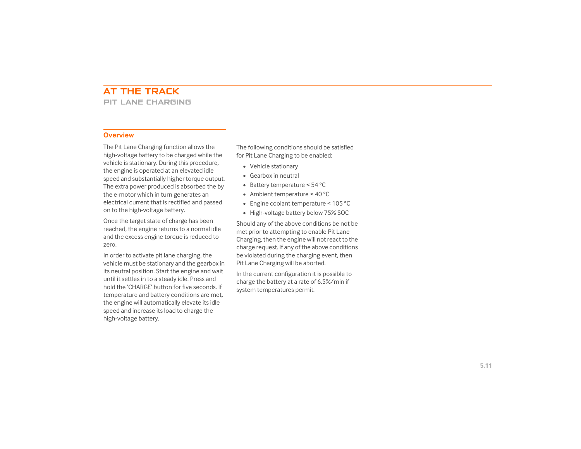# AT THE TRACKPIT LANE CHARGING

#### <span id="page-62-1"></span><span id="page-62-0"></span>**Overview**

The Pit Lane Charging function allows the high-voltage battery to be charged while the vehicle is stationary. During this procedure, the engine is operated at an elevated idle speed and substantially higher torque output. The extra power produced is absorbed the by the e-motor which in turn generates an electrical current that is rectified and passed on to the high-voltage battery.

Once the target state of charge has been reached, the engine returns to a normal idle and the excess engine torque is reduced to zero.

In order to activate pit lane charging, the vehicle must be stationary and the gearbox in its neutral position. Start the engine and wait until it settles in to a steady idle. Press and hold the 'CHARGE' button for five seconds. If temperature and battery conditions are met, the engine will automatically elevate its idle speed and increase its load to charge the high-voltage battery.

The following conditions should be satisfied for Pit Lane Charging to be enabled:

- Vehicle stationary
- Gearbox in neutral
- Battery temperature < 54 °C
- Ambient temperature < 40 °C
- Engine coolant temperature < 105 °C
- High-voltage battery below 75% SOC

Should any of the above conditions be not be met prior to attempting to enable Pit Lane Charging, then the engine will not react to the charge request. If any of the above conditions be violated during the charging event, then Pit Lane Charging will be aborted.

In the current configuration it is possible to charge the battery at a rate of 6.5%/min if system temperatures permit.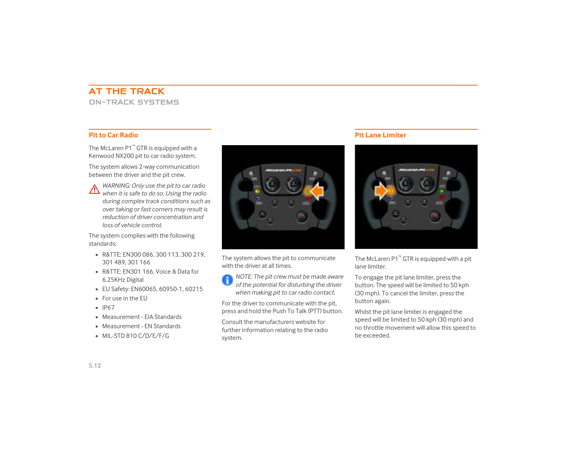# AT THE TRACKON-TRACK SYSTEMS

### <span id="page-63-1"></span><span id="page-63-0"></span>**Pit to Car Radio**

The McLaren P1™ GTR is equipped with a Kenwood NX200 pit to car radio system.

The system allows 2-way communication between the driver and the pit crew.



*WARNING: Only use the pit to car radio when it is safe to do so. Using the radio during complex track conditions such as over taking or fast corners may result is reduction of driver concentration and loss of vehicle control.*

The system complies with the following standards:

- R&TTE: EN300 086, 300 113, 300 219, 301 489, 301 166
- R&TTE: EN301 166, Voice & Data for 6.25KHz Digital
- EU Safety: EN60065, 60950-1, 60215
- For use in the EU
- IP67
- Measurement EIA Standards
- Measurement EN Standards
- MIL-STD 810 C/D/E/F/G



The system allows the pit to communicate with the driver at all times.

*NOTE: The pit crew must be made aware of the potential for disturbing the driver when making pit to car radio contact.*

For the driver to communicate with the pit, press and hold the Push To Talk (PTT) button.

Consult the manufacturers website for further information relating to the radio system.

#### <span id="page-63-2"></span>**Pit Lane Limiter**



The McLaren P1™ GTR is equipped with a pit lane limiter.

To engage the pit lane limiter, press the button. The speed will be limited to 50 kph (30 mph). To cancel the limiter, press the button again.

Whilst the pit lane limiter is engaged the speed will be limited to 50 kph (30 mph) and no throttle movement will allow this speed to be exceeded.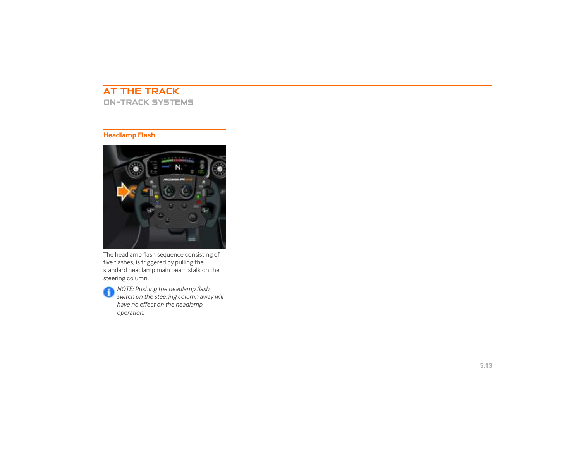# AT THE TRACKON-TRACK SYSTEMS

### <span id="page-64-0"></span>**Headlamp Flash**



The headlamp flash sequence consisting of five flashes, is triggered by pulling the standard headlamp main beam stalk on the steering column.



*NOTE: Pushing the headlamp flash switch on the steering column away will have no effect on the headlamp operation.*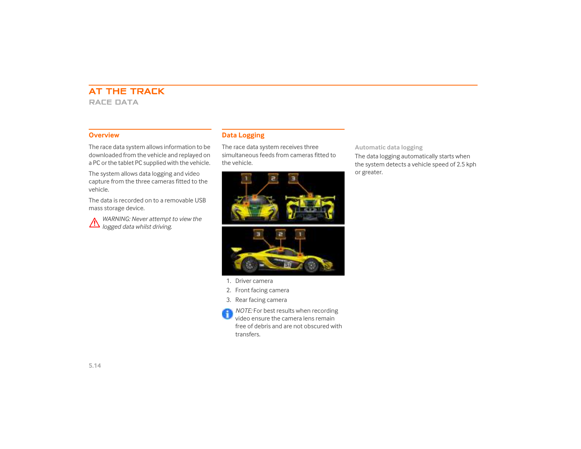# AT THE TRACKRACE DATA

#### <span id="page-65-1"></span><span id="page-65-0"></span>**Overview**

The race data system allows information to be downloaded from the vehicle and replayed on a PC or the tablet PC supplied with the vehicle.

The system allows data logging and video capture from the three cameras fitted to the vehicle.

The data is recorded on to a removable USB mass storage device.

*WARNING: Never attempt to view the*   $\sqrt{N}$ *logged data whilst driving.*

### <span id="page-65-2"></span>**Data Logging**

The race data system receives three simultaneous feeds from cameras fitted to the vehicle.



- 1. Driver camera
- 2. Front facing camera
- 3. Rear facing camera

*NOTE:* For best results when recording video ensure the camera lens remain free of debris and are not obscured with transfers.

#### **Automatic data logging**

The data logging automatically starts when the system detects a vehicle speed of 2.5 kph or greater.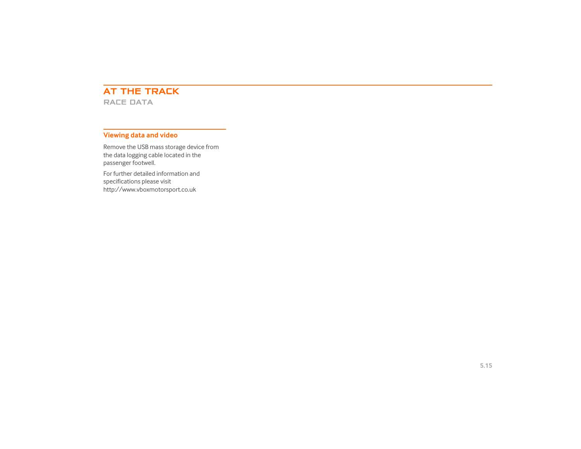# AT THE TRACK RACE DATA

### <span id="page-66-0"></span>**Viewing data and video**

Remove the USB mass storage device from the data logging cable located in the passenger footwell.

For further detailed information and specifications please visit http://www.vboxmotorsport.co.uk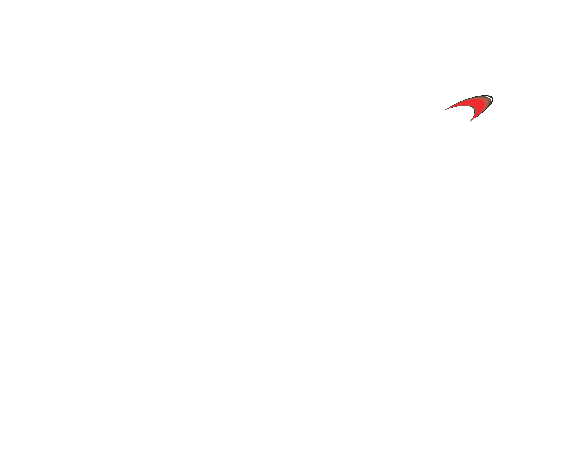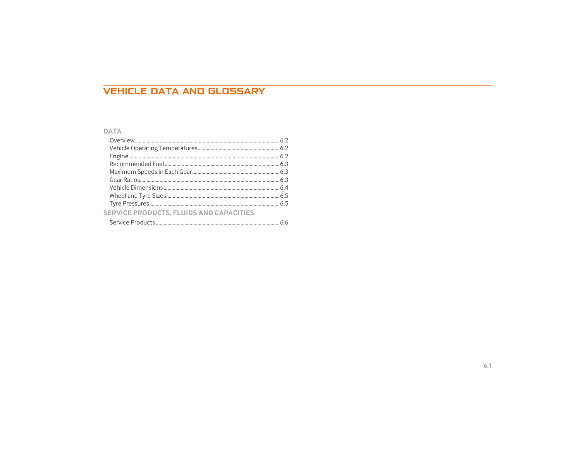# **VEHICLE DATA AND GLOSSARY**

#### **DATA**

| <b>SERVICE PRODUCTS, FLUIDS AND CAPACITIES</b> |  |
|------------------------------------------------|--|
|                                                |  |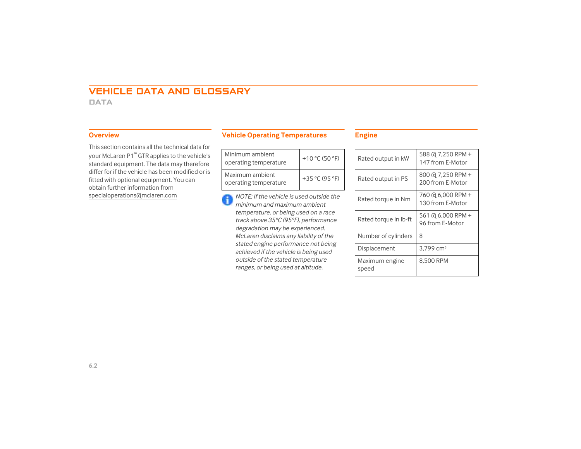**DATA** 

#### <span id="page-71-1"></span><span id="page-71-0"></span>**Overview**

This section contains all the technical data for your McLaren P1™ GTR applies to the vehicle's standard equipment. The data may therefore differ for if the vehicle has been modified or is fitted with optional equipment. You can obtain further information from specialoperations@mclaren.com

### <span id="page-71-2"></span>**Vehicle Operating Temperatures**

# Minimum ambient operating temperature +10 °C (50 °F) Maximum ambient operating temperature +35 °C (95 °F)

*NOTE: If the vehicle is used outside the minimum and maximum ambient temperature, or being used on a race track above 35°C (95°F), performance degradation may be experienced. McLaren disclaims any liability of the stated engine performance not being achieved if the vehicle is being used outside of the stated temperature ranges, or being used at altitude.*

### <span id="page-71-3"></span>**Engine**

| Rated output in kW      | 588 @ 7,250 RPM +<br>147 from F-Motor |
|-------------------------|---------------------------------------|
| Rated output in PS      | 800 @ 7,250 RPM +<br>200 from F-Motor |
| Rated torque in Nm      | 760 @ 6,000 RPM +<br>130 from F-Motor |
| Rated torque in Ib-ft   | 561 @ 6,000 RPM +<br>96 from F-Motor  |
| Number of cylinders     | 8                                     |
| Displacement            | $3.799$ cm <sup>3</sup>               |
| Maximum engine<br>speed | 8.500 RPM                             |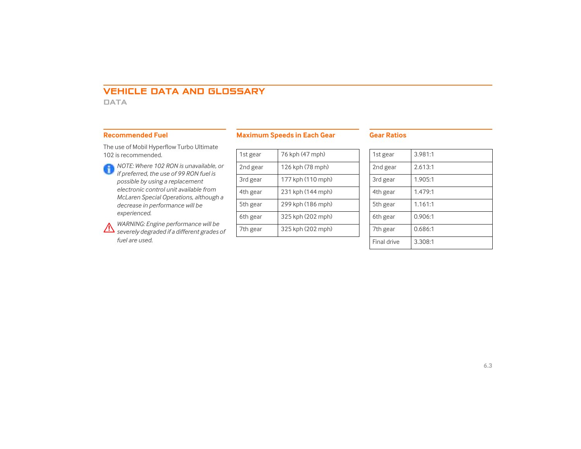# VEHICLE DATA AND GLOSSARY

**DATA** 

#### **Recommended Fuel**

The use of Mobil Hyperflow Turbo Ultimate 102 is recommended.

<span id="page-72-0"></span>*NOTE: Where 102 RON is unavailable, or if preferred, the use of 99 RON fuel is possible by using a replacement electronic control unit available from McLaren Special Operations, although a decrease in performance will be experienced.*

*WARNING: Engine performance will be*  7!N *severely degraded if a different grades of fuel are used.*

#### **Maximum Speeds in Each Gear Gear Ratios**

| 1st gear | 76 kph (47 mph)   |
|----------|-------------------|
| 2nd gear | 126 kph (78 mph)  |
| 3rd gear | 177 kph (110 mph) |
| 4th gear | 231 kph (144 mph) |
| 5th gear | 299 kph (186 mph) |
| 6th gear | 325 kph (202 mph) |
| 7th gear | 325 kph (202 mph) |

<span id="page-72-2"></span><span id="page-72-1"></span>

| 3.981:1 |
|---------|
| 2.613:1 |
| 1.905:1 |
| 1.479:1 |
| 1.161:1 |
| 0.906:1 |
| 0.686:1 |
| 3.308:1 |
|         |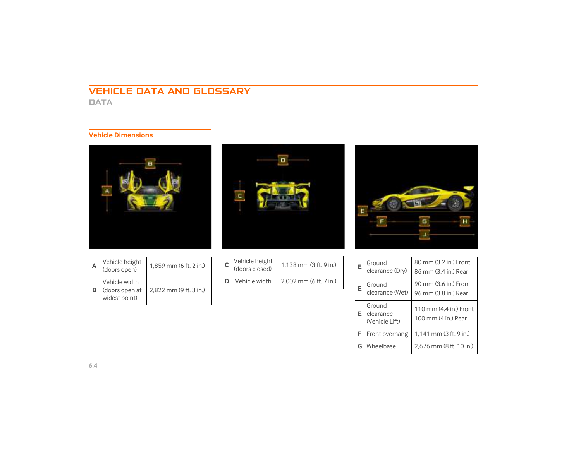# VEHICLE DATA AND GLOSSARY DATA

#### <span id="page-73-0"></span>**Vehicle Dimensions**



| A | Vehicle height<br>(doors open)                   | 1,859 mm (6 ft. 2 in.) |
|---|--------------------------------------------------|------------------------|
| B | Vehicle width<br>(doors open at<br>widest point) | 2.822 mm (9 ft. 3 in.) |

| Vehicle height<br>(doors closed) | 1.138 mm (3 ft. 9 in.) |
|----------------------------------|------------------------|
| Vehicle width                    | 2,002 mm (6 ft. 7 in.) |



| E. | Ground<br>clearance (Dry)             | 80 mm (3.2 in.) Front<br>86 mm (3.4 in.) Rear |
|----|---------------------------------------|-----------------------------------------------|
| E. | Ground<br>clearance (Wet)             | 90 mm (3.6 in.) Front<br>96 mm (3.8 in.) Rear |
| Е  | Ground<br>clearance<br>(Vehicle Lift) | 110 mm (4.4 in.) Front<br>100 mm (4 in.) Rear |
| F  | Front overhang                        | 1,141 mm (3 ft. 9 in.)                        |
| G  | Wheelbase                             | 2,676 mm (8 ft. 10 in.)                       |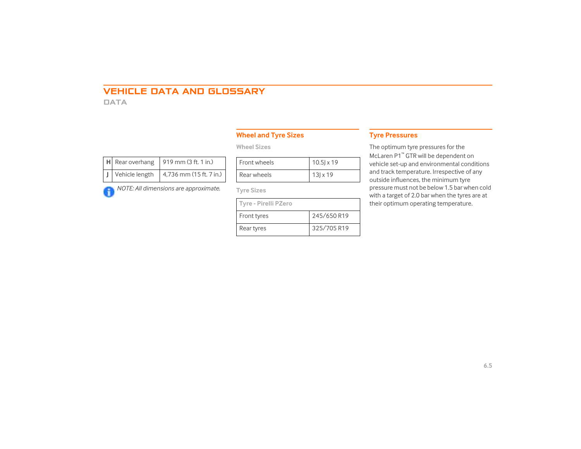**DATA** 

#### <span id="page-74-1"></span>**Wheel and Tyre Sizes**

**Wheel Sizes**

|  | H Rear overhang 919 mm (3 ft. 1 in.)       |
|--|--------------------------------------------|
|  | J Vehicle length $4,736$ mm (15 ft. 7 in.) |

*NOTE: All dimensions are approximate.*

| Front wheels | $10.5$ $\times 19$ |
|--------------|--------------------|
| Rear wheels  | $13 \times 19$     |

**Tyre Sizes**

| <b>Tyre - Pirelli PZero</b> |             |
|-----------------------------|-------------|
| <b>Front tyres</b>          | 245/650 R19 |
| Rear tyres                  | 325/705 R19 |

#### <span id="page-74-0"></span>**Tyre Pressures**

The optimum tyre pressures for the McLaren P1™ GTR will be dependent on vehicle set-up and environmental conditions and track temperature. Irrespective of any outside influences, the minimum tyre pressure must not be below 1.5 bar when cold with a target of 2.0 bar when the tyres are at their optimum operating temperature.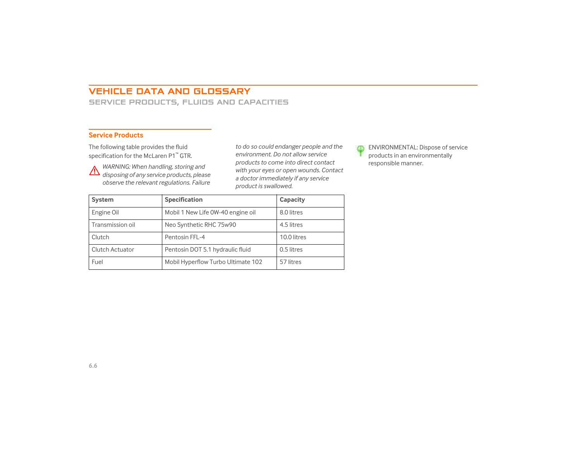# VEHICLE DATA AND GLOSSARY

SERVICE PRODUCTS, FLUIDS AND CAPACITIES

#### <span id="page-75-0"></span>**Service Products**

The following table provides the fluid specification for the McLaren P1™ GTR.



*WARNING: When handling, storing and disposing of any service products, please observe the relevant regulations. Failure* 

*to do so could endanger people and the environment. Do not allow service products to come into direct contact with your eyes or open wounds. Contact a doctor immediately if any service product is swallowed.*

ENVIRONMENTAL: Dispose of service products in an environmentally responsible manner.

| System           | Specification                      | Capacity    |
|------------------|------------------------------------|-------------|
| Engine Oil       | Mobil 1 New Life 0W-40 engine oil  | 8.0 litres  |
| Transmission oil | Neo Synthetic RHC 75w90            | 4.5 litres  |
| Clutch           | Pentosin FFL-4                     | 10.0 litres |
| Clutch Actuator  | Pentosin DOT 5.1 hydraulic fluid   | 0.5 litres  |
| Fuel             | Mobil Hyperflow Turbo Ultimate 102 | 57 litres   |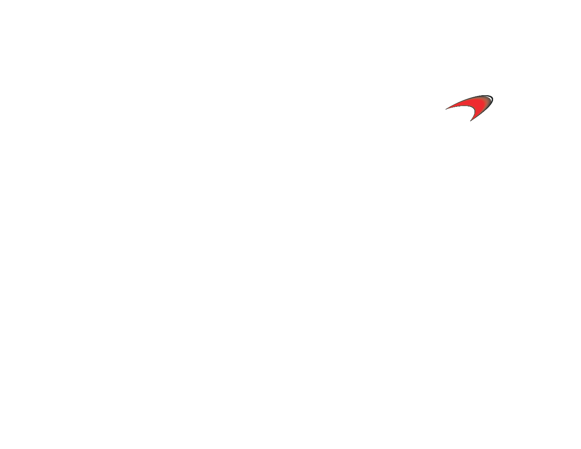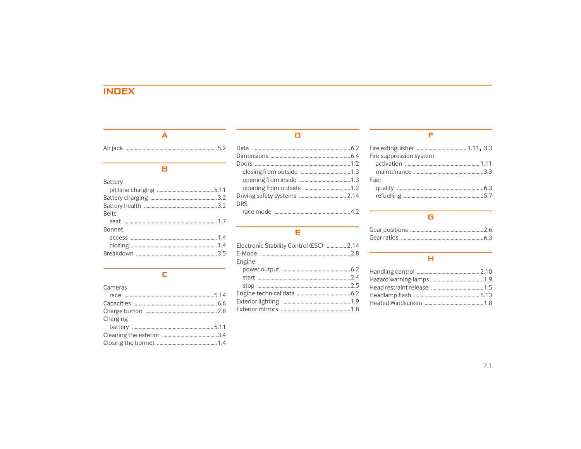# **INDEX**

## $\blacktriangle$

| в              |  |
|----------------|--|
| <b>Battery</b> |  |
|                |  |
|                |  |
|                |  |
| <b>Belts</b>   |  |
|                |  |
| Bonnet         |  |
|                |  |
|                |  |
|                |  |

# $\blacksquare$

| Cameras  |  |
|----------|--|
|          |  |
|          |  |
|          |  |
| Charging |  |
|          |  |
|          |  |
|          |  |

# $\blacksquare$

| <b>DRS</b> |  |
|------------|--|
|            |  |
|            |  |

# E

| Electronic Stability Control (ESC)  2.14<br>Engine |  |
|----------------------------------------------------|--|
|                                                    |  |
|                                                    |  |
|                                                    |  |
|                                                    |  |
|                                                    |  |
|                                                    |  |
|                                                    |  |

### $\mathsf F$

| Fire suppression system |  |
|-------------------------|--|
|                         |  |
|                         |  |
| Fuel                    |  |
|                         |  |
|                         |  |

## $\mathbf G$

## $\mathsf{H}% _{\mathbb{R}}^{1}\left( \mathbb{R}^{2}\right)$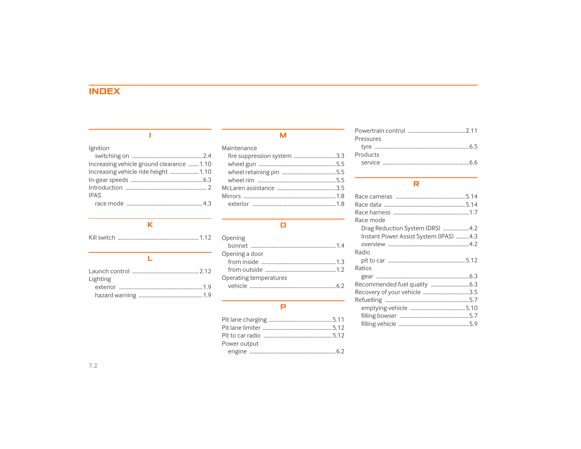## Ignition

| 181114011                                |
|------------------------------------------|
|                                          |
| Increasing vehicle ground clearance 1.10 |
|                                          |
|                                          |
|                                          |
| <b>IPAS</b>                              |
|                                          |

 $\mathbf{I}$ 

# $\overline{\mathbf{K}}$

|--|--|--|--|--|

#### L

| Lighting |  |
|----------|--|
|          |  |
|          |  |

#### $\mathbf M$

#### Maintenance

| fire suppression system 3.3 |  |
|-----------------------------|--|
|                             |  |
|                             |  |
|                             |  |
|                             |  |
|                             |  |
|                             |  |
|                             |  |

## $\blacksquare$

| Opening                |  |
|------------------------|--|
|                        |  |
| Opening a door         |  |
|                        |  |
|                        |  |
| Operating temperatures |  |
|                        |  |

#### $\mathsf{P}$

| Power output |  |
|--------------|--|
|              |  |

| Pressures |  |
|-----------|--|
|           |  |
| Products  |  |
|           |  |

#### $\mathbf R$

| Race mode                              |  |
|----------------------------------------|--|
| Drag Reduction System (DRS) 4.2        |  |
| Instant Power Assist System (IPAS) 4.3 |  |
|                                        |  |
| Radio                                  |  |
|                                        |  |
| Ratios                                 |  |
|                                        |  |
|                                        |  |
|                                        |  |
|                                        |  |
|                                        |  |
|                                        |  |
|                                        |  |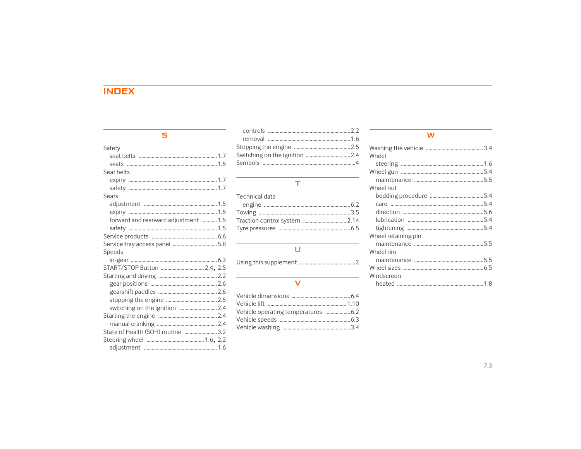# **INDEX**

#### $\blacksquare$

| Safety                              |  |
|-------------------------------------|--|
|                                     |  |
|                                     |  |
| Seat belts                          |  |
|                                     |  |
|                                     |  |
| Seats                               |  |
|                                     |  |
|                                     |  |
| forward and rearward adjustment 1.5 |  |
|                                     |  |
|                                     |  |
|                                     |  |
| <b>Speeds</b>                       |  |
|                                     |  |
|                                     |  |
|                                     |  |
|                                     |  |
|                                     |  |
|                                     |  |
| switching on the ignition  2.4      |  |
|                                     |  |
|                                     |  |
| State of Health (SOH) routine 3.2   |  |
|                                     |  |
|                                     |  |

#### $\mathbf T$

| Technical data                |  |
|-------------------------------|--|
|                               |  |
|                               |  |
| Traction control system  2.14 |  |
|                               |  |
|                               |  |

#### $\pmb{\pmb{\cup}}$

#### $\overline{\mathsf{v}}$

#### W

| Wheel               |
|---------------------|
|                     |
|                     |
|                     |
| Wheel nut           |
|                     |
|                     |
|                     |
|                     |
|                     |
| Wheel retaining pin |
|                     |
| Wheel rim           |
|                     |
|                     |
| Windscreen          |
|                     |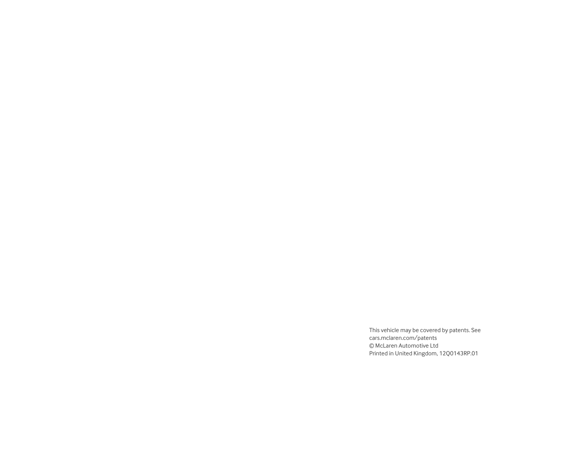This vehicle may be covered by patents. See cars.mclaren.com/patents © McLaren Automotive Ltd Printed in United Kingdom, 12Q0143RP.01